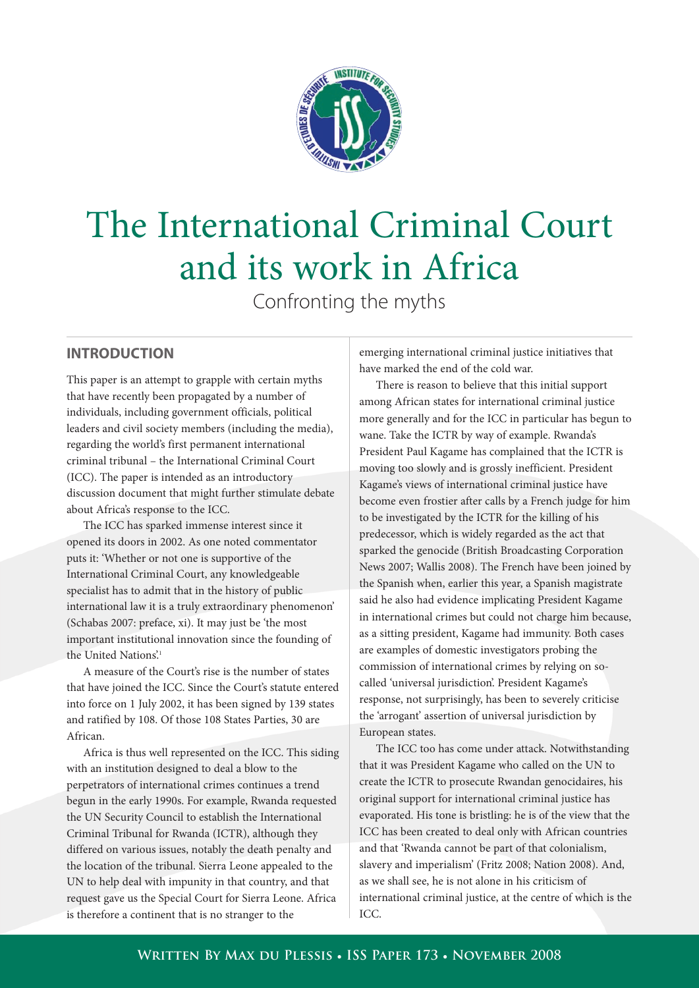

# The International Criminal Court and its work in Africa

Confronting the myths

### **INTRODUCTION**

This paper is an attempt to grapple with certain myths that have recently been propagated by a number of individuals, including government officials, political leaders and civil society members (including the media), regarding the world's first permanent international criminal tribunal – the International Criminal Court (ICC). The paper is intended as an introductory discussion document that might further stimulate debate about Africa's response to the ICC.

The ICC has sparked immense interest since it opened its doors in 2002. As one noted commentator puts it: 'Whether or not one is supportive of the International Criminal Court, any knowledgeable specialist has to admit that in the history of public international law it is a truly extraordinary phenomenon' (Schabas 2007: preface, xi). It may just be 'the most important institutional innovation since the founding of the United Nations'.<sup>1</sup>

A measure of the Court's rise is the number of states that have joined the ICC. Since the Court's statute entered into force on 1 July 2002, it has been signed by 139 states and ratified by 108. Of those 108 States Parties, 30 are African.

Africa is thus well represented on the ICC. This siding with an institution designed to deal a blow to the perpetrators of international crimes continues a trend begun in the early 1990s. For example, Rwanda requested the UN Security Council to establish the International Criminal Tribunal for Rwanda (ICTR), although they differed on various issues, notably the death penalty and the location of the tribunal. Sierra Leone appealed to the UN to help deal with impunity in that country, and that request gave us the Special Court for Sierra Leone. Africa is therefore a continent that is no stranger to the

emerging international criminal justice initiatives that have marked the end of the cold war.

There is reason to believe that this initial support among African states for international criminal justice more generally and for the ICC in particular has begun to wane. Take the ICTR by way of example. Rwanda's President Paul Kagame has complained that the ICTR is moving too slowly and is grossly inefficient. President Kagame's views of international criminal justice have become even frostier after calls by a French judge for him to be investigated by the ICTR for the killing of his predecessor, which is widely regarded as the act that sparked the genocide (British Broadcasting Corporation News 2007; Wallis 2008). The French have been joined by the Spanish when, earlier this year, a Spanish magistrate said he also had evidence implicating President Kagame in international crimes but could not charge him because, as a sitting president, Kagame had immunity. Both cases are examples of domestic investigators probing the commission of international crimes by relying on socalled 'universal jurisdiction'. President Kagame's response, not surprisingly, has been to severely criticise the 'arrogant' assertion of universal jurisdiction by European states.

The ICC too has come under attack. Notwithstanding that it was President Kagame who called on the UN to create the ICTR to prosecute Rwandan genocidaires, his original support for international criminal justice has evaporated. His tone is bristling: he is of the view that the ICC has been created to deal only with African countries and that 'Rwanda cannot be part of that colonialism, slavery and imperialism' (Fritz 2008; Nation 2008). And, as we shall see, he is not alone in his criticism of international criminal justice, at the centre of which is the ICC.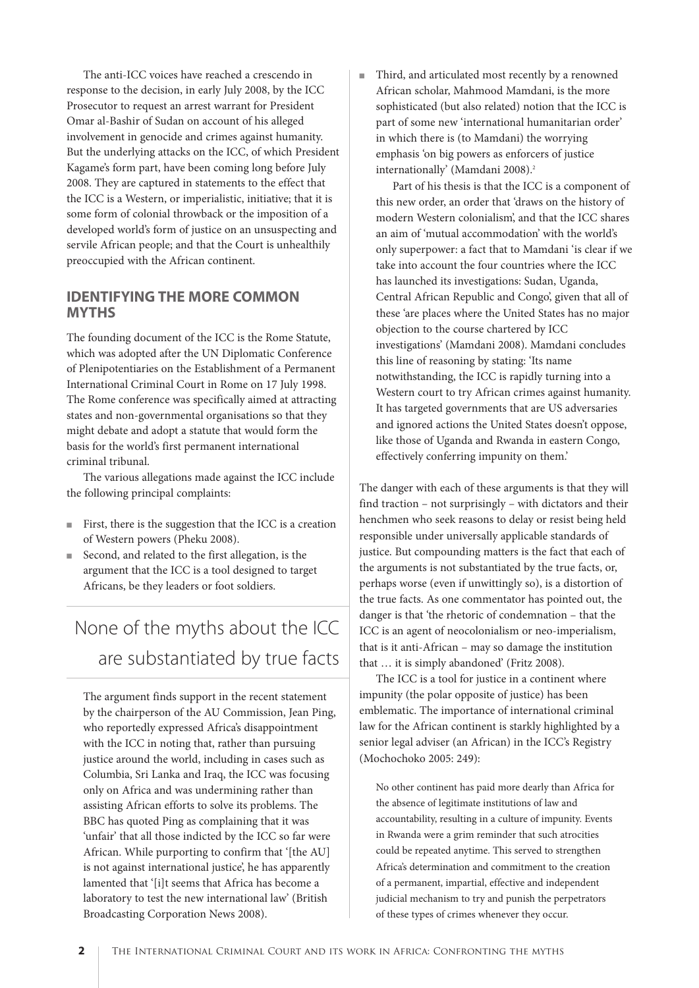The anti-ICC voices have reached a crescendo in response to the decision, in early July 2008, by the ICC Prosecutor to request an arrest warrant for President Omar al-Bashir of Sudan on account of his alleged involvement in genocide and crimes against humanity. But the underlying attacks on the ICC, of which President Kagame's form part, have been coming long before July 2008. They are captured in statements to the effect that the ICC is a Western, or imperialistic, initiative; that it is some form of colonial throwback or the imposition of a developed world's form of justice on an unsuspecting and servile African people; and that the Court is unhealthily preoccupied with the African continent.

#### **IDENTIFYING THE MORE COMMON MYTHS**

The founding document of the ICC is the Rome Statute, which was adopted after the UN Diplomatic Conference of Plenipotentiaries on the Establishment of a Permanent International Criminal Court in Rome on 17 July 1998. The Rome conference was specifically aimed at attracting states and non-governmental organisations so that they might debate and adopt a statute that would form the basis for the world's first permanent international criminal tribunal.

The various allegations made against the ICC include the following principal complaints:

- First, there is the suggestion that the ICC is a creation of Western powers (Pheku 2008).
- Second, and related to the first allegation, is the argument that the ICC is a tool designed to target Africans, be they leaders or foot soldiers.

# None of the myths about the ICC are substantiated by true facts

The argument finds support in the recent statement by the chairperson of the AU Commission, Jean Ping, who reportedly expressed Africa's disappointment with the ICC in noting that, rather than pursuing justice around the world, including in cases such as Columbia, Sri Lanka and Iraq, the ICC was focusing only on Africa and was undermining rather than assisting African efforts to solve its problems. The BBC has quoted Ping as complaining that it was 'unfair' that all those indicted by the ICC so far were African. While purporting to confirm that '[the AU] is not against international justice', he has apparently lamented that '[i]t seems that Africa has become a laboratory to test the new international law' (British Broadcasting Corporation News 2008).

Third, and articulated most recently by a renowned African scholar, Mahmood Mamdani, is the more sophisticated (but also related) notion that the ICC is part of some new 'international humanitarian order' in which there is (to Mamdani) the worrying emphasis 'on big powers as enforcers of justice internationally' (Mamdani 2008).<sup>2</sup>

Part of his thesis is that the ICC is a component of this new order, an order that 'draws on the history of modern Western colonialism', and that the ICC shares an aim of 'mutual accommodation' with the world's only superpower: a fact that to Mamdani 'is clear if we take into account the four countries where the ICC has launched its investigations: Sudan, Uganda, Central African Republic and Congo', given that all of these 'are places where the United States has no major objection to the course chartered by ICC investigations' (Mamdani 2008). Mamdani concludes this line of reasoning by stating: 'Its name notwithstanding, the ICC is rapidly turning into a Western court to try African crimes against humanity. It has targeted governments that are US adversaries and ignored actions the United States doesn't oppose, like those of Uganda and Rwanda in eastern Congo, effectively conferring impunity on them.'

The danger with each of these arguments is that they will find traction – not surprisingly – with dictators and their henchmen who seek reasons to delay or resist being held responsible under universally applicable standards of justice. But compounding matters is the fact that each of the arguments is not substantiated by the true facts, or, perhaps worse (even if unwittingly so), is a distortion of the true facts. As one commentator has pointed out, the danger is that 'the rhetoric of condemnation – that the ICC is an agent of neocolonialism or neo-imperialism, that is it anti-African – may so damage the institution that … it is simply abandoned' (Fritz 2008).

The ICC is a tool for justice in a continent where impunity (the polar opposite of justice) has been emblematic. The importance of international criminal law for the African continent is starkly highlighted by a senior legal adviser (an African) in the ICC's Registry (Mochochoko 2005: 249):

No other continent has paid more dearly than Africa for the absence of legitimate institutions of law and accountability, resulting in a culture of impunity. Events in Rwanda were a grim reminder that such atrocities could be repeated anytime. This served to strengthen Africa's determination and commitment to the creation of a permanent, impartial, effective and independent judicial mechanism to try and punish the perpetrators of these types of crimes whenever they occur.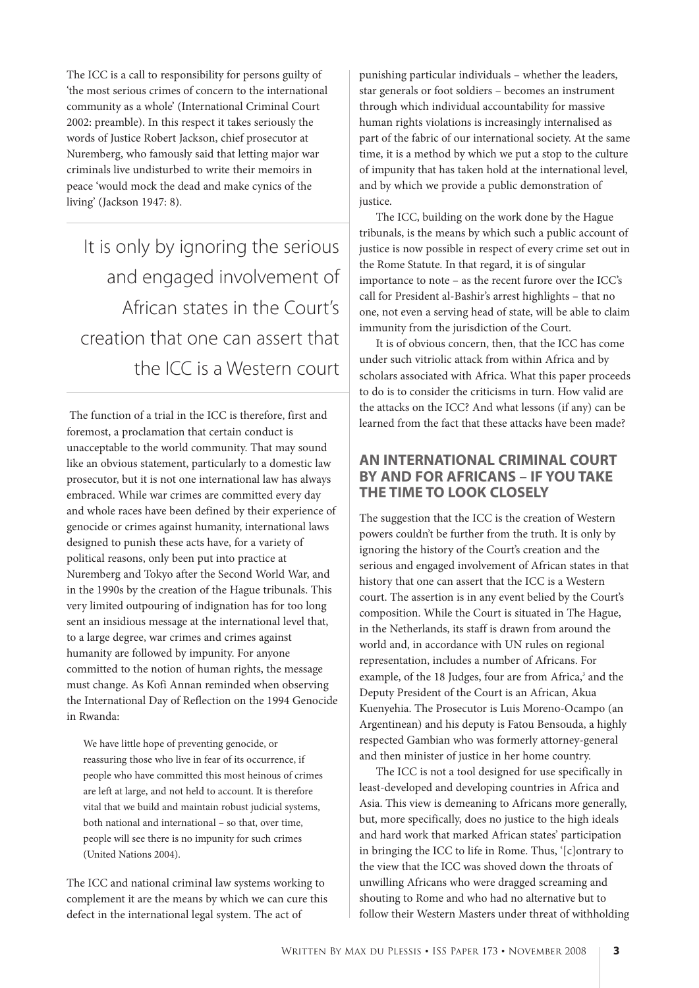The ICC is a call to responsibility for persons guilty of 'the most serious crimes of concern to the international community as a whole' (International Criminal Court 2002: preamble). In this respect it takes seriously the words of Justice Robert Jackson, chief prosecutor at Nuremberg, who famously said that letting major war criminals live undisturbed to write their memoirs in peace 'would mock the dead and make cynics of the living' (Jackson 1947: 8).

It is only by ignoring the serious and engaged involvement of African states in the Court's creation that one can assert that the ICC is a Western court

The function of a trial in the ICC is therefore, first and foremost, a proclamation that certain conduct is unacceptable to the world community. That may sound like an obvious statement, particularly to a domestic law prosecutor, but it is not one international law has always embraced. While war crimes are committed every day and whole races have been defined by their experience of genocide or crimes against humanity, international laws designed to punish these acts have, for a variety of political reasons, only been put into practice at Nuremberg and Tokyo after the Second World War, and in the 1990s by the creation of the Hague tribunals. This very limited outpouring of indignation has for too long sent an insidious message at the international level that, to a large degree, war crimes and crimes against humanity are followed by impunity. For anyone committed to the notion of human rights, the message must change. As Kofi Annan reminded when observing the International Day of Reflection on the 1994 Genocide in Rwanda:

We have little hope of preventing genocide, or reassuring those who live in fear of its occurrence, if people who have committed this most heinous of crimes are left at large, and not held to account. It is therefore vital that we build and maintain robust judicial systems, both national and international – so that, over time, people will see there is no impunity for such crimes (United Nations 2004).

The ICC and national criminal law systems working to complement it are the means by which we can cure this defect in the international legal system. The act of

punishing particular individuals – whether the leaders, star generals or foot soldiers – becomes an instrument through which individual accountability for massive human rights violations is increasingly internalised as part of the fabric of our international society. At the same time, it is a method by which we put a stop to the culture of impunity that has taken hold at the international level, and by which we provide a public demonstration of justice.

The ICC, building on the work done by the Hague tribunals, is the means by which such a public account of justice is now possible in respect of every crime set out in the Rome Statute. In that regard, it is of singular importance to note – as the recent furore over the ICC's call for President al-Bashir's arrest highlights – that no one, not even a serving head of state, will be able to claim immunity from the jurisdiction of the Court.

It is of obvious concern, then, that the ICC has come under such vitriolic attack from within Africa and by scholars associated with Africa. What this paper proceeds to do is to consider the criticisms in turn. How valid are the attacks on the ICC? And what lessons (if any) can be learned from the fact that these attacks have been made?

#### **AN INTERNATIONAL CRIMINAL COURT BY AND FOR AFRICANS – IF YOU TAKE THE TIME TO LOOK CLOSELY**

The suggestion that the ICC is the creation of Western powers couldn't be further from the truth. It is only by ignoring the history of the Court's creation and the serious and engaged involvement of African states in that history that one can assert that the ICC is a Western court. The assertion is in any event belied by the Court's composition. While the Court is situated in The Hague, in the Netherlands, its staff is drawn from around the world and, in accordance with UN rules on regional representation, includes a number of Africans. For example, of the 18 Judges, four are from Africa,<sup>3</sup> and the Deputy President of the Court is an African, Akua Kuenyehia. The Prosecutor is Luis Moreno-Ocampo (an Argentinean) and his deputy is Fatou Bensouda, a highly respected Gambian who was formerly attorney-general and then minister of justice in her home country.

The ICC is not a tool designed for use specifically in least-developed and developing countries in Africa and Asia. This view is demeaning to Africans more generally, but, more specifically, does no justice to the high ideals and hard work that marked African states' participation in bringing the ICC to life in Rome. Thus, '[c]ontrary to the view that the ICC was shoved down the throats of unwilling Africans who were dragged screaming and shouting to Rome and who had no alternative but to follow their Western Masters under threat of withholding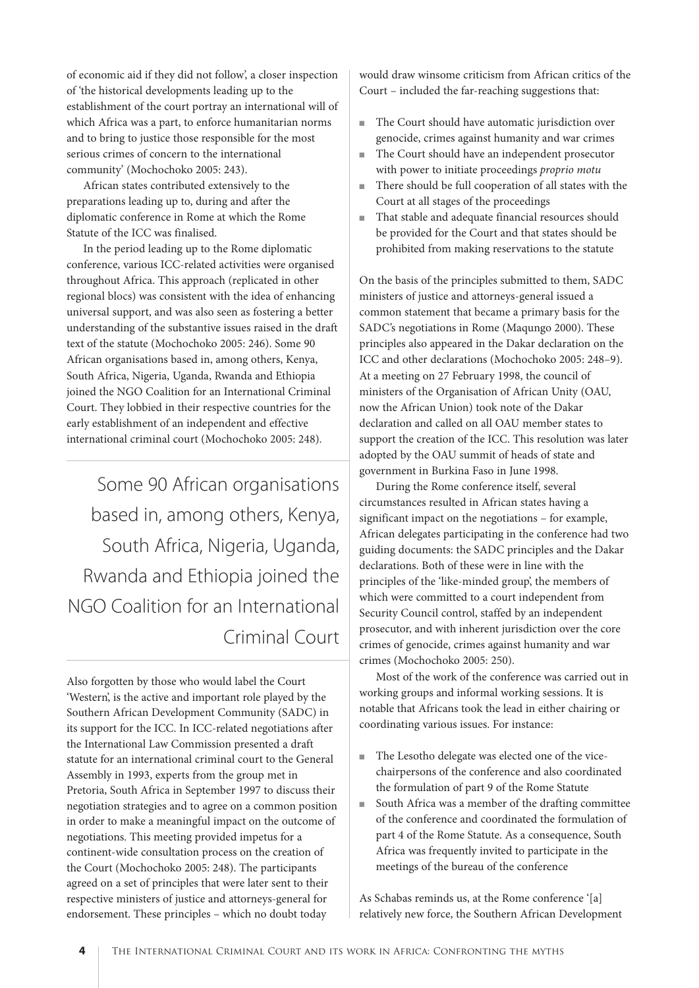of economic aid if they did not follow', a closer inspection of 'the historical developments leading up to the establishment of the court portray an international will of which Africa was a part, to enforce humanitarian norms and to bring to justice those responsible for the most serious crimes of concern to the international community' (Mochochoko 2005: 243).

African states contributed extensively to the preparations leading up to, during and after the diplomatic conference in Rome at which the Rome Statute of the ICC was finalised.

In the period leading up to the Rome diplomatic conference, various ICC-related activities were organised throughout Africa. This approach (replicated in other regional blocs) was consistent with the idea of enhancing universal support, and was also seen as fostering a better understanding of the substantive issues raised in the draft text of the statute (Mochochoko 2005: 246). Some 90 African organisations based in, among others, Kenya, South Africa, Nigeria, Uganda, Rwanda and Ethiopia joined the NGO Coalition for an International Criminal Court. They lobbied in their respective countries for the early establishment of an independent and effective international criminal court (Mochochoko 2005: 248).

Some 90 African organisations based in, among others, Kenya, South Africa, Nigeria, Uganda, Rwanda and Ethiopia joined the NGO Coalition for an International Criminal Court

Also forgotten by those who would label the Court 'Western', is the active and important role played by the Southern African Development Community (SADC) in its support for the ICC. In ICC-related negotiations after the International Law Commission presented a draft statute for an international criminal court to the General Assembly in 1993, experts from the group met in Pretoria, South Africa in September 1997 to discuss their negotiation strategies and to agree on a common position in order to make a meaningful impact on the outcome of negotiations. This meeting provided impetus for a continent-wide consultation process on the creation of the Court (Mochochoko 2005: 248). The participants agreed on a set of principles that were later sent to their respective ministers of justice and attorneys-general for endorsement. These principles – which no doubt today

would draw winsome criticism from African critics of the Court – included the far-reaching suggestions that:

- The Court should have automatic jurisdiction over genocide, crimes against humanity and war crimes
- The Court should have an independent prosecutor with power to initiate proceedings proprio motu
- There should be full cooperation of all states with the Court at all stages of the proceedings
- That stable and adequate financial resources should be provided for the Court and that states should be prohibited from making reservations to the statute

On the basis of the principles submitted to them, SADC ministers of justice and attorneys-general issued a common statement that became a primary basis for the SADC's negotiations in Rome (Maqungo 2000). These principles also appeared in the Dakar declaration on the ICC and other declarations (Mochochoko 2005: 248–9). At a meeting on 27 February 1998, the council of ministers of the Organisation of African Unity (OAU, now the African Union) took note of the Dakar declaration and called on all OAU member states to support the creation of the ICC. This resolution was later adopted by the OAU summit of heads of state and government in Burkina Faso in June 1998.

During the Rome conference itself, several circumstances resulted in African states having a significant impact on the negotiations – for example, African delegates participating in the conference had two guiding documents: the SADC principles and the Dakar declarations. Both of these were in line with the principles of the 'like-minded group', the members of which were committed to a court independent from Security Council control, staffed by an independent prosecutor, and with inherent jurisdiction over the core crimes of genocide, crimes against humanity and war crimes (Mochochoko 2005: 250).

Most of the work of the conference was carried out in working groups and informal working sessions. It is notable that Africans took the lead in either chairing or coordinating various issues. For instance:

- The Lesotho delegate was elected one of the vicechairpersons of the conference and also coordinated the formulation of part 9 of the Rome Statute
- South Africa was a member of the drafting committee of the conference and coordinated the formulation of part 4 of the Rome Statute. As a consequence, South Africa was frequently invited to participate in the meetings of the bureau of the conference

As Schabas reminds us, at the Rome conference '[a] relatively new force, the Southern African Development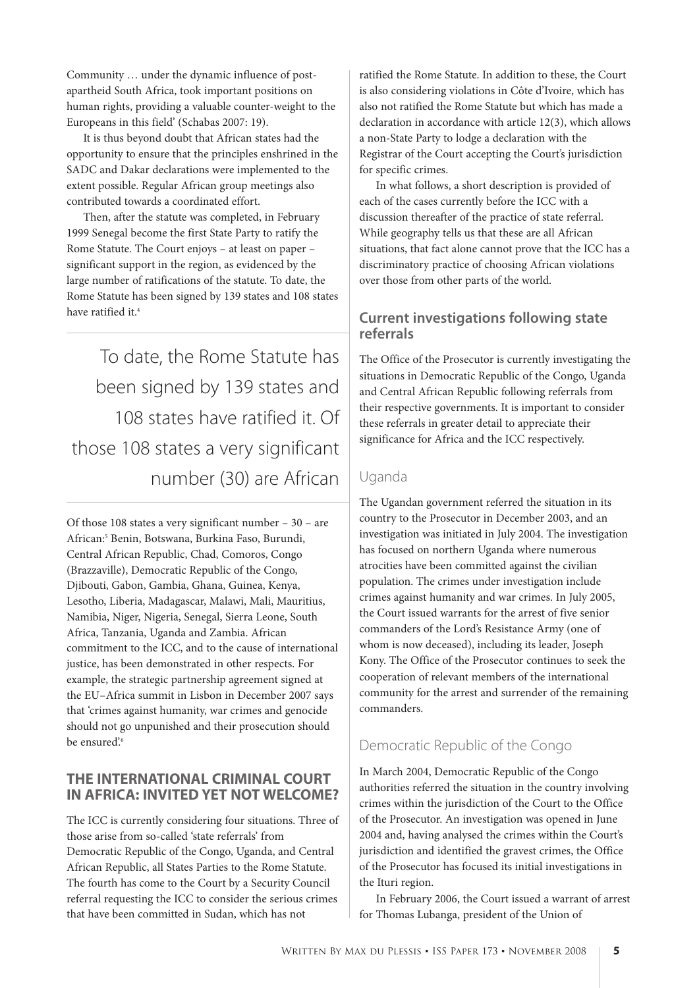Community … under the dynamic influence of postapartheid South Africa, took important positions on human rights, providing a valuable counter-weight to the Europeans in this field' (Schabas 2007: 19).

It is thus beyond doubt that African states had the opportunity to ensure that the principles enshrined in the SADC and Dakar declarations were implemented to the extent possible. Regular African group meetings also contributed towards a coordinated effort.

Then, after the statute was completed, in February 1999 Senegal become the first State Party to ratify the Rome Statute. The Court enjoys – at least on paper – significant support in the region, as evidenced by the large number of ratifications of the statute. To date, the Rome Statute has been signed by 139 states and 108 states have ratified it.4

To date, the Rome Statute has been signed by 139 states and 108 states have ratified it. Of those 108 states a very significant number (30) are African

Of those 108 states a very significant number – 30 – are African:5 Benin, Botswana, Burkina Faso, Burundi, Central African Republic, Chad, Comoros, Congo (Brazzaville), Democratic Republic of the Congo, Djibouti, Gabon, Gambia, Ghana, Guinea, Kenya, Lesotho, Liberia, Madagascar, Malawi, Mali, Mauritius, Namibia, Niger, Nigeria, Senegal, Sierra Leone, South Africa, Tanzania, Uganda and Zambia. African commitment to the ICC, and to the cause of international justice, has been demonstrated in other respects. For example, the strategic partnership agreement signed at the EU–Africa summit in Lisbon in December 2007 says that 'crimes against humanity, war crimes and genocide should not go unpunished and their prosecution should be ensured'.<sup>6</sup>

#### **THE INTERNATIONAL CRIMINAL COURT IN AFRICA: INVITED YET NOT WELCOME?**

The ICC is currently considering four situations. Three of those arise from so-called 'state referrals' from Democratic Republic of the Congo, Uganda, and Central African Republic, all States Parties to the Rome Statute. The fourth has come to the Court by a Security Council referral requesting the ICC to consider the serious crimes that have been committed in Sudan, which has not

ratified the Rome Statute. In addition to these, the Court is also considering violations in Côte d'Ivoire, which has also not ratified the Rome Statute but which has made a declaration in accordance with article 12(3), which allows a non-State Party to lodge a declaration with the Registrar of the Court accepting the Court's jurisdiction for specific crimes.

In what follows, a short description is provided of each of the cases currently before the ICC with a discussion thereafter of the practice of state referral. While geography tells us that these are all African situations, that fact alone cannot prove that the ICC has a discriminatory practice of choosing African violations over those from other parts of the world.

#### **Current investigations following state referrals**

The Office of the Prosecutor is currently investigating the situations in Democratic Republic of the Congo, Uganda and Central African Republic following referrals from their respective governments. It is important to consider these referrals in greater detail to appreciate their significance for Africa and the ICC respectively.

#### Uganda

The Ugandan government referred the situation in its country to the Prosecutor in December 2003, and an investigation was initiated in July 2004. The investigation has focused on northern Uganda where numerous atrocities have been committed against the civilian population. The crimes under investigation include crimes against humanity and war crimes. In July 2005, the Court issued warrants for the arrest of five senior commanders of the Lord's Resistance Army (one of whom is now deceased), including its leader, Joseph Kony. The Office of the Prosecutor continues to seek the cooperation of relevant members of the international community for the arrest and surrender of the remaining commanders.

## Democratic Republic of the Congo

In March 2004, Democratic Republic of the Congo authorities referred the situation in the country involving crimes within the jurisdiction of the Court to the Office of the Prosecutor. An investigation was opened in June 2004 and, having analysed the crimes within the Court's jurisdiction and identified the gravest crimes, the Office of the Prosecutor has focused its initial investigations in the Ituri region.

In February 2006, the Court issued a warrant of arrest for Thomas Lubanga, president of the Union of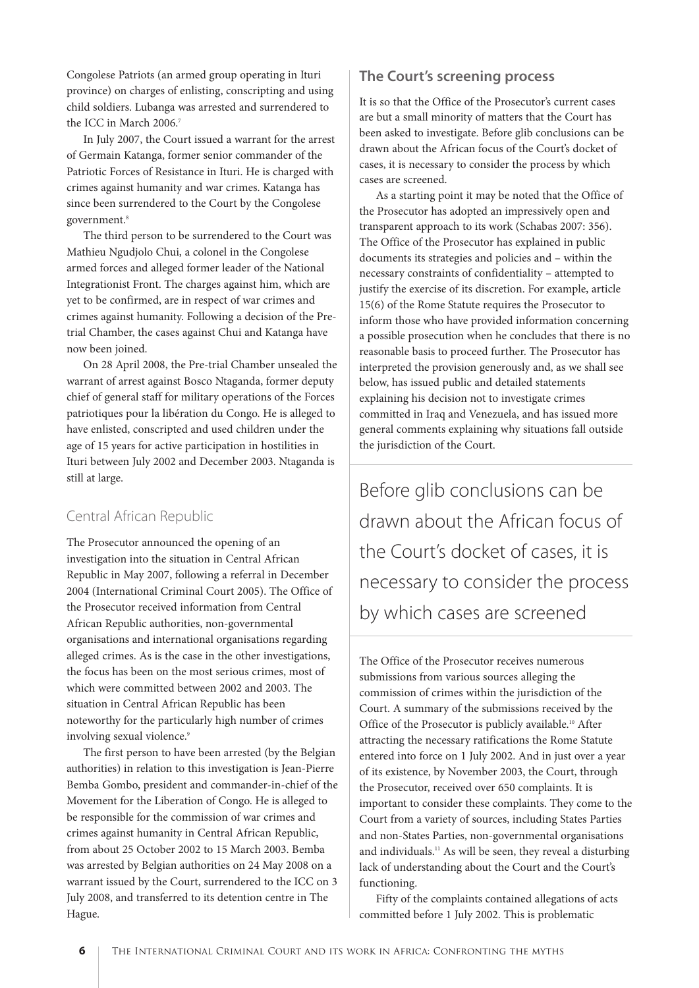Congolese Patriots (an armed group operating in Ituri province) on charges of enlisting, conscripting and using child soldiers. Lubanga was arrested and surrendered to the ICC in March 2006.<sup>7</sup>

In July 2007, the Court issued a warrant for the arrest of Germain Katanga, former senior commander of the Patriotic Forces of Resistance in Ituri. He is charged with crimes against humanity and war crimes. Katanga has since been surrendered to the Court by the Congolese government.<sup>8</sup>

The third person to be surrendered to the Court was Mathieu Ngudjolo Chui, a colonel in the Congolese armed forces and alleged former leader of the National Integrationist Front. The charges against him, which are yet to be confirmed, are in respect of war crimes and crimes against humanity. Following a decision of the Pretrial Chamber, the cases against Chui and Katanga have now been joined.

On 28 April 2008, the Pre-trial Chamber unsealed the warrant of arrest against Bosco Ntaganda, former deputy chief of general staff for military operations of the Forces patriotiques pour la libération du Congo. He is alleged to have enlisted, conscripted and used children under the age of 15 years for active participation in hostilities in Ituri between July 2002 and December 2003. Ntaganda is still at large.

## Central African Republic

The Prosecutor announced the opening of an investigation into the situation in Central African Republic in May 2007, following a referral in December 2004 (International Criminal Court 2005). The Office of the Prosecutor received information from Central African Republic authorities, non-governmental organisations and international organisations regarding alleged crimes. As is the case in the other investigations, the focus has been on the most serious crimes, most of which were committed between 2002 and 2003. The situation in Central African Republic has been noteworthy for the particularly high number of crimes involving sexual violence.<sup>9</sup>

The first person to have been arrested (by the Belgian authorities) in relation to this investigation is Jean-Pierre Bemba Gombo, president and commander-in-chief of the Movement for the Liberation of Congo. He is alleged to be responsible for the commission of war crimes and crimes against humanity in Central African Republic, from about 25 October 2002 to 15 March 2003. Bemba was arrested by Belgian authorities on 24 May 2008 on a warrant issued by the Court, surrendered to the ICC on 3 July 2008, and transferred to its detention centre in The Hague.

### **The Court's screening process**

It is so that the Office of the Prosecutor's current cases are but a small minority of matters that the Court has been asked to investigate. Before glib conclusions can be drawn about the African focus of the Court's docket of cases, it is necessary to consider the process by which cases are screened.

As a starting point it may be noted that the Office of the Prosecutor has adopted an impressively open and transparent approach to its work (Schabas 2007: 356). The Office of the Prosecutor has explained in public documents its strategies and policies and – within the necessary constraints of confidentiality – attempted to justify the exercise of its discretion. For example, article 15(6) of the Rome Statute requires the Prosecutor to inform those who have provided information concerning a possible prosecution when he concludes that there is no reasonable basis to proceed further. The Prosecutor has interpreted the provision generously and, as we shall see below, has issued public and detailed statements explaining his decision not to investigate crimes committed in Iraq and Venezuela, and has issued more general comments explaining why situations fall outside the jurisdiction of the Court.

Before glib conclusions can be drawn about the African focus of the Court's docket of cases, it is necessary to consider the process by which cases are screened

The Office of the Prosecutor receives numerous submissions from various sources alleging the commission of crimes within the jurisdiction of the Court. A summary of the submissions received by the Office of the Prosecutor is publicly available.<sup>10</sup> After attracting the necessary ratifications the Rome Statute entered into force on 1 July 2002. And in just over a year of its existence, by November 2003, the Court, through the Prosecutor, received over 650 complaints. It is important to consider these complaints. They come to the Court from a variety of sources, including States Parties and non-States Parties, non-governmental organisations and individuals.11 As will be seen, they reveal a disturbing lack of understanding about the Court and the Court's functioning.

Fifty of the complaints contained allegations of acts committed before 1 July 2002. This is problematic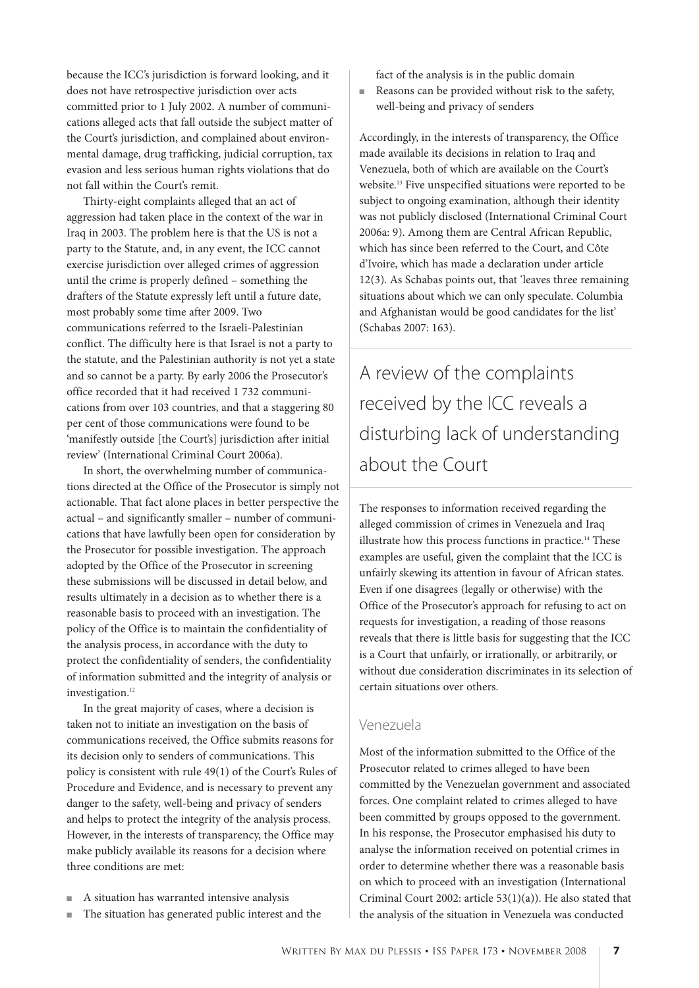because the ICC's jurisdiction is forward looking, and it does not have retrospective jurisdiction over acts committed prior to 1 July 2002. A number of communications alleged acts that fall outside the subject matter of the Court's jurisdiction, and complained about environmental damage, drug trafficking, judicial corruption, tax evasion and less serious human rights violations that do not fall within the Court's remit.

Thirty-eight complaints alleged that an act of aggression had taken place in the context of the war in Iraq in 2003. The problem here is that the US is not a party to the Statute, and, in any event, the ICC cannot exercise jurisdiction over alleged crimes of aggression until the crime is properly defined – something the drafters of the Statute expressly left until a future date, most probably some time after 2009. Two communications referred to the Israeli-Palestinian conflict. The difficulty here is that Israel is not a party to the statute, and the Palestinian authority is not yet a state and so cannot be a party. By early 2006 the Prosecutor's office recorded that it had received 1 732 communications from over 103 countries, and that a staggering 80 per cent of those communications were found to be 'manifestly outside [the Court's] jurisdiction after initial review' (International Criminal Court 2006a).

In short, the overwhelming number of communications directed at the Office of the Prosecutor is simply not actionable. That fact alone places in better perspective the actual – and significantly smaller – number of communications that have lawfully been open for consideration by the Prosecutor for possible investigation. The approach adopted by the Office of the Prosecutor in screening these submissions will be discussed in detail below, and results ultimately in a decision as to whether there is a reasonable basis to proceed with an investigation. The policy of the Office is to maintain the confidentiality of the analysis process, in accordance with the duty to protect the confidentiality of senders, the confidentiality of information submitted and the integrity of analysis or investigation.<sup>12</sup>

In the great majority of cases, where a decision is taken not to initiate an investigation on the basis of communications received, the Office submits reasons for its decision only to senders of communications. This policy is consistent with rule 49(1) of the Court's Rules of Procedure and Evidence, and is necessary to prevent any danger to the safety, well-being and privacy of senders and helps to protect the integrity of the analysis process. However, in the interests of transparency, the Office may make publicly available its reasons for a decision where three conditions are met:

- A situation has warranted intensive analysis
- The situation has generated public interest and the

fact of the analysis is in the public domain

■ Reasons can be provided without risk to the safety, well-being and privacy of senders

Accordingly, in the interests of transparency, the Office made available its decisions in relation to Iraq and Venezuela, both of which are available on the Court's website.13 Five unspecified situations were reported to be subject to ongoing examination, although their identity was not publicly disclosed (International Criminal Court 2006a: 9). Among them are Central African Republic, which has since been referred to the Court, and Côte d'Ivoire, which has made a declaration under article 12(3). As Schabas points out, that 'leaves three remaining situations about which we can only speculate. Columbia and Afghanistan would be good candidates for the list' (Schabas 2007: 163).

A review of the complaints received by the ICC reveals a disturbing lack of understanding about the Court

The responses to information received regarding the alleged commission of crimes in Venezuela and Iraq illustrate how this process functions in practice.14 These examples are useful, given the complaint that the ICC is unfairly skewing its attention in favour of African states. Even if one disagrees (legally or otherwise) with the Office of the Prosecutor's approach for refusing to act on requests for investigation, a reading of those reasons reveals that there is little basis for suggesting that the ICC is a Court that unfairly, or irrationally, or arbitrarily, or without due consideration discriminates in its selection of certain situations over others.

#### Venezuela

Most of the information submitted to the Office of the Prosecutor related to crimes alleged to have been committed by the Venezuelan government and associated forces. One complaint related to crimes alleged to have been committed by groups opposed to the government. In his response, the Prosecutor emphasised his duty to analyse the information received on potential crimes in order to determine whether there was a reasonable basis on which to proceed with an investigation (International Criminal Court 2002: article 53(1)(a)). He also stated that the analysis of the situation in Venezuela was conducted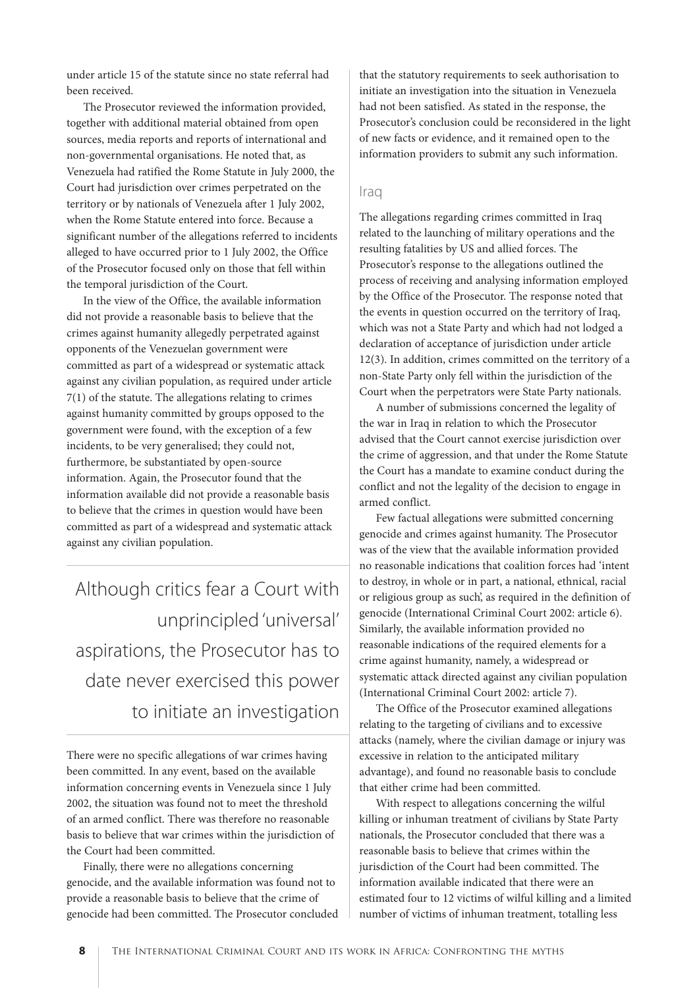under article 15 of the statute since no state referral had been received.

The Prosecutor reviewed the information provided, together with additional material obtained from open sources, media reports and reports of international and non-governmental organisations. He noted that, as Venezuela had ratified the Rome Statute in July 2000, the Court had jurisdiction over crimes perpetrated on the territory or by nationals of Venezuela after 1 July 2002, when the Rome Statute entered into force. Because a significant number of the allegations referred to incidents alleged to have occurred prior to 1 July 2002, the Office of the Prosecutor focused only on those that fell within the temporal jurisdiction of the Court.

In the view of the Office, the available information did not provide a reasonable basis to believe that the crimes against humanity allegedly perpetrated against opponents of the Venezuelan government were committed as part of a widespread or systematic attack against any civilian population, as required under article 7(1) of the statute. The allegations relating to crimes against humanity committed by groups opposed to the government were found, with the exception of a few incidents, to be very generalised; they could not, furthermore, be substantiated by open-source information. Again, the Prosecutor found that the information available did not provide a reasonable basis to believe that the crimes in question would have been committed as part of a widespread and systematic attack against any civilian population.

Although critics fear a Court with unprincipled 'universal' aspirations, the Prosecutor has to date never exercised this power to initiate an investigation

There were no specific allegations of war crimes having been committed. In any event, based on the available information concerning events in Venezuela since 1 July 2002, the situation was found not to meet the threshold of an armed conflict. There was therefore no reasonable basis to believe that war crimes within the jurisdiction of the Court had been committed.

Finally, there were no allegations concerning genocide, and the available information was found not to provide a reasonable basis to believe that the crime of genocide had been committed. The Prosecutor concluded

that the statutory requirements to seek authorisation to initiate an investigation into the situation in Venezuela had not been satisfied. As stated in the response, the Prosecutor's conclusion could be reconsidered in the light of new facts or evidence, and it remained open to the information providers to submit any such information.

#### **Iraq**

The allegations regarding crimes committed in Iraq related to the launching of military operations and the resulting fatalities by US and allied forces. The Prosecutor's response to the allegations outlined the process of receiving and analysing information employed by the Office of the Prosecutor. The response noted that the events in question occurred on the territory of Iraq, which was not a State Party and which had not lodged a declaration of acceptance of jurisdiction under article 12(3). In addition, crimes committed on the territory of a non-State Party only fell within the jurisdiction of the Court when the perpetrators were State Party nationals.

A number of submissions concerned the legality of the war in Iraq in relation to which the Prosecutor advised that the Court cannot exercise jurisdiction over the crime of aggression, and that under the Rome Statute the Court has a mandate to examine conduct during the conflict and not the legality of the decision to engage in armed conflict.

Few factual allegations were submitted concerning genocide and crimes against humanity. The Prosecutor was of the view that the available information provided no reasonable indications that coalition forces had 'intent to destroy, in whole or in part, a national, ethnical, racial or religious group as such', as required in the definition of genocide (International Criminal Court 2002: article 6). Similarly, the available information provided no reasonable indications of the required elements for a crime against humanity, namely, a widespread or systematic attack directed against any civilian population (International Criminal Court 2002: article 7).

The Office of the Prosecutor examined allegations relating to the targeting of civilians and to excessive attacks (namely, where the civilian damage or injury was excessive in relation to the anticipated military advantage), and found no reasonable basis to conclude that either crime had been committed.

With respect to allegations concerning the wilful killing or inhuman treatment of civilians by State Party nationals, the Prosecutor concluded that there was a reasonable basis to believe that crimes within the jurisdiction of the Court had been committed. The information available indicated that there were an estimated four to 12 victims of wilful killing and a limited number of victims of inhuman treatment, totalling less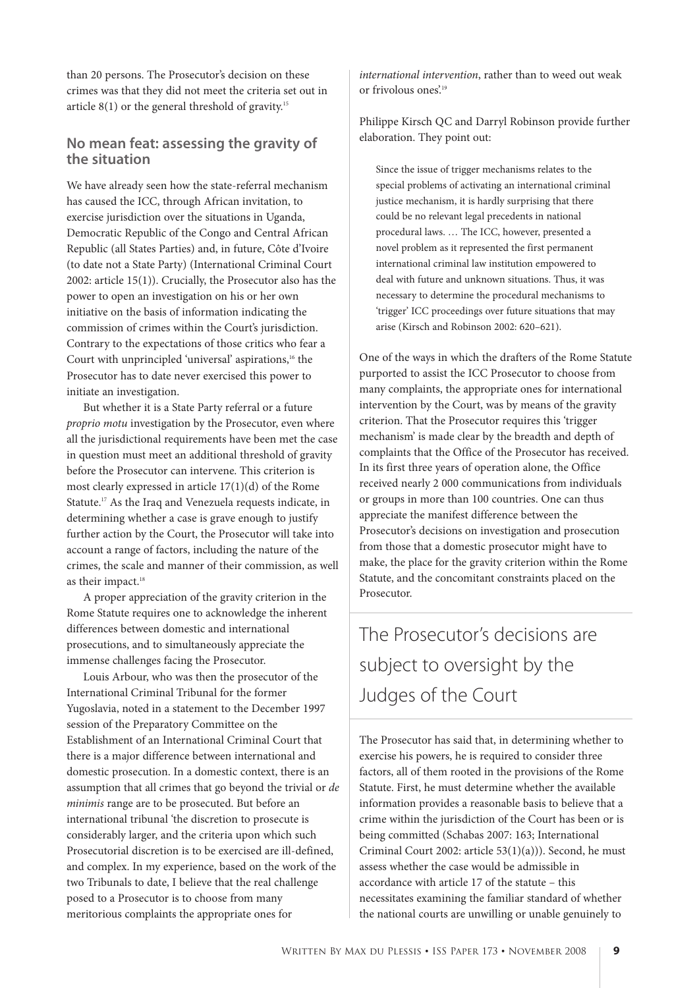than 20 persons. The Prosecutor's decision on these crimes was that they did not meet the criteria set out in article  $8(1)$  or the general threshold of gravity.<sup>15</sup>

#### **No mean feat: assessing the gravity of the situation**

We have already seen how the state-referral mechanism has caused the ICC, through African invitation, to exercise jurisdiction over the situations in Uganda, Democratic Republic of the Congo and Central African Republic (all States Parties) and, in future, Côte d'Ivoire (to date not a State Party) (International Criminal Court 2002: article 15(1)). Crucially, the Prosecutor also has the power to open an investigation on his or her own initiative on the basis of information indicating the commission of crimes within the Court's jurisdiction. Contrary to the expectations of those critics who fear a Court with unprincipled 'universal' aspirations,<sup>16</sup> the Prosecutor has to date never exercised this power to initiate an investigation.

But whether it is a State Party referral or a future proprio motu investigation by the Prosecutor, even where all the jurisdictional requirements have been met the case in question must meet an additional threshold of gravity before the Prosecutor can intervene. This criterion is most clearly expressed in article 17(1)(d) of the Rome Statute.17 As the Iraq and Venezuela requests indicate, in determining whether a case is grave enough to justify further action by the Court, the Prosecutor will take into account a range of factors, including the nature of the crimes, the scale and manner of their commission, as well as their impact.<sup>18</sup>

A proper appreciation of the gravity criterion in the Rome Statute requires one to acknowledge the inherent differences between domestic and international prosecutions, and to simultaneously appreciate the immense challenges facing the Prosecutor.

Louis Arbour, who was then the prosecutor of the International Criminal Tribunal for the former Yugoslavia, noted in a statement to the December 1997 session of the Preparatory Committee on the Establishment of an International Criminal Court that there is a major difference between international and domestic prosecution. In a domestic context, there is an assumption that all crimes that go beyond the trivial or de minimis range are to be prosecuted. But before an international tribunal 'the discretion to prosecute is considerably larger, and the criteria upon which such Prosecutorial discretion is to be exercised are ill-defined, and complex. In my experience, based on the work of the two Tribunals to date, I believe that the real challenge posed to a Prosecutor is to choose from many meritorious complaints the appropriate ones for

international intervention, rather than to weed out weak or frivolous ones<sup>'19</sup>

Philippe Kirsch QC and Darryl Robinson provide further elaboration. They point out:

Since the issue of trigger mechanisms relates to the special problems of activating an international criminal justice mechanism, it is hardly surprising that there could be no relevant legal precedents in national procedural laws. … The ICC, however, presented a novel problem as it represented the first permanent international criminal law institution empowered to deal with future and unknown situations. Thus, it was necessary to determine the procedural mechanisms to 'trigger' ICC proceedings over future situations that may arise (Kirsch and Robinson 2002: 620–621).

One of the ways in which the drafters of the Rome Statute purported to assist the ICC Prosecutor to choose from many complaints, the appropriate ones for international intervention by the Court, was by means of the gravity criterion. That the Prosecutor requires this 'trigger mechanism' is made clear by the breadth and depth of complaints that the Office of the Prosecutor has received. In its first three years of operation alone, the Office received nearly 2 000 communications from individuals or groups in more than 100 countries. One can thus appreciate the manifest difference between the Prosecutor's decisions on investigation and prosecution from those that a domestic prosecutor might have to make, the place for the gravity criterion within the Rome Statute, and the concomitant constraints placed on the Prosecutor.

The Prosecutor's decisions are subject to oversight by the Judges of the Court

The Prosecutor has said that, in determining whether to exercise his powers, he is required to consider three factors, all of them rooted in the provisions of the Rome Statute. First, he must determine whether the available information provides a reasonable basis to believe that a crime within the jurisdiction of the Court has been or is being committed (Schabas 2007: 163; International Criminal Court 2002: article 53(1)(a))). Second, he must assess whether the case would be admissible in accordance with article 17 of the statute – this necessitates examining the familiar standard of whether the national courts are unwilling or unable genuinely to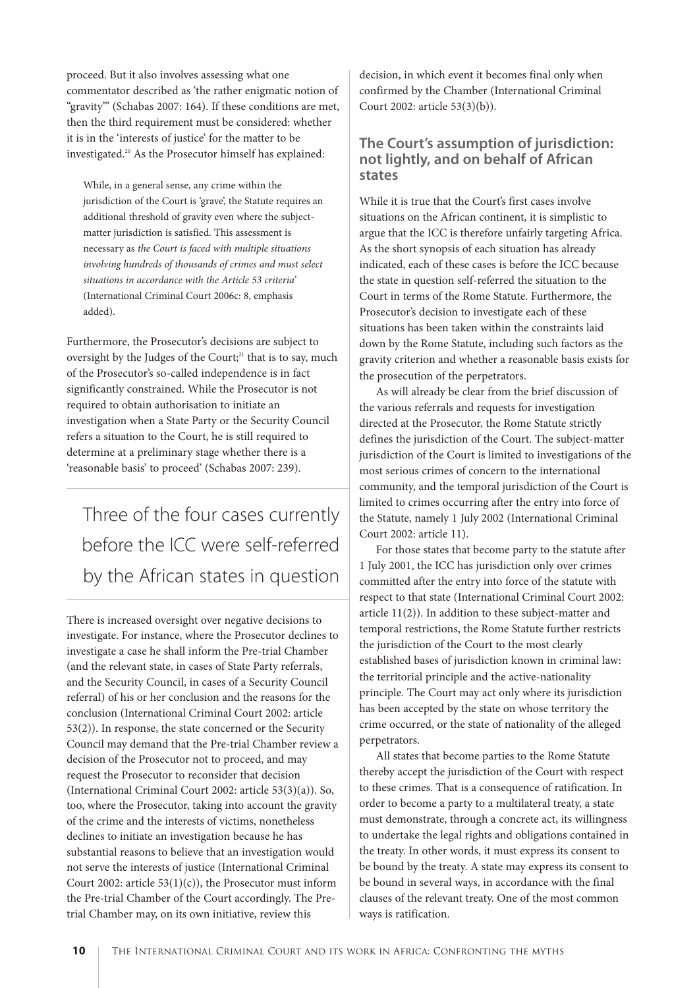proceed. But it also involves assessing what one commentator described as 'the rather enigmatic notion of "gravity"' (Schabas 2007: 164). If these conditions are met, then the third requirement must be considered: whether it is in the 'interests of justice' for the matter to be investigated.<sup>20</sup> As the Prosecutor himself has explained:

While, in a general sense, any crime within the jurisdiction of the Court is 'grave', the Statute requires an additional threshold of gravity even where the subjectmatter jurisdiction is satisfied. This assessment is necessary as the Court is faced with multiple situations involving hundreds of thousands of crimes and must select situations in accordance with the Article 53 criteria' (International Criminal Court 2006c: 8, emphasis added).

Furthermore, the Prosecutor's decisions are subject to oversight by the Judges of the Court;<sup>21</sup> that is to say, much of the Prosecutor's so-called independence is in fact significantly constrained. While the Prosecutor is not required to obtain authorisation to initiate an investigation when a State Party or the Security Council refers a situation to the Court, he is still required to determine at a preliminary stage whether there is a 'reasonable basis' to proceed' (Schabas 2007: 239).

Three of the four cases currently before the ICC were self-referred by the African states in question

There is increased oversight over negative decisions to investigate. For instance, where the Prosecutor declines to investigate a case he shall inform the Pre-trial Chamber (and the relevant state, in cases of State Party referrals, and the Security Council, in cases of a Security Council referral) of his or her conclusion and the reasons for the conclusion (International Criminal Court 2002: article 53(2)). In response, the state concerned or the Security Council may demand that the Pre-trial Chamber review a decision of the Prosecutor not to proceed, and may request the Prosecutor to reconsider that decision (International Criminal Court 2002: article 53(3)(a)). So, too, where the Prosecutor, taking into account the gravity of the crime and the interests of victims, nonetheless declines to initiate an investigation because he has substantial reasons to believe that an investigation would not serve the interests of justice (International Criminal Court 2002: article  $53(1)(c)$ , the Prosecutor must inform the Pre-trial Chamber of the Court accordingly. The Pretrial Chamber may, on its own initiative, review this

decision, in which event it becomes final only when confirmed by the Chamber (International Criminal Court 2002: article 53(3)(b)).

#### **The Court's assumption of jurisdiction: not lightly, and on behalf of African states**

While it is true that the Court's first cases involve situations on the African continent, it is simplistic to argue that the ICC is therefore unfairly targeting Africa. As the short synopsis of each situation has already indicated, each of these cases is before the ICC because the state in question self-referred the situation to the Court in terms of the Rome Statute. Furthermore, the Prosecutor's decision to investigate each of these situations has been taken within the constraints laid down by the Rome Statute, including such factors as the gravity criterion and whether a reasonable basis exists for the prosecution of the perpetrators.

As will already be clear from the brief discussion of the various referrals and requests for investigation directed at the Prosecutor, the Rome Statute strictly defines the jurisdiction of the Court. The subject-matter jurisdiction of the Court is limited to investigations of the most serious crimes of concern to the international community, and the temporal jurisdiction of the Court is limited to crimes occurring after the entry into force of the Statute, namely 1 July 2002 (International Criminal Court 2002: article 11).

For those states that become party to the statute after 1 July 2001, the ICC has jurisdiction only over crimes committed after the entry into force of the statute with respect to that state (International Criminal Court 2002: article 11(2)). In addition to these subject-matter and temporal restrictions, the Rome Statute further restricts the jurisdiction of the Court to the most clearly established bases of jurisdiction known in criminal law: the territorial principle and the active-nationality principle. The Court may act only where its jurisdiction has been accepted by the state on whose territory the crime occurred, or the state of nationality of the alleged perpetrators.

All states that become parties to the Rome Statute thereby accept the jurisdiction of the Court with respect to these crimes. That is a consequence of ratification. In order to become a party to a multilateral treaty, a state must demonstrate, through a concrete act, its willingness to undertake the legal rights and obligations contained in the treaty. In other words, it must express its consent to be bound by the treaty. A state may express its consent to be bound in several ways, in accordance with the final clauses of the relevant treaty. One of the most common ways is ratification.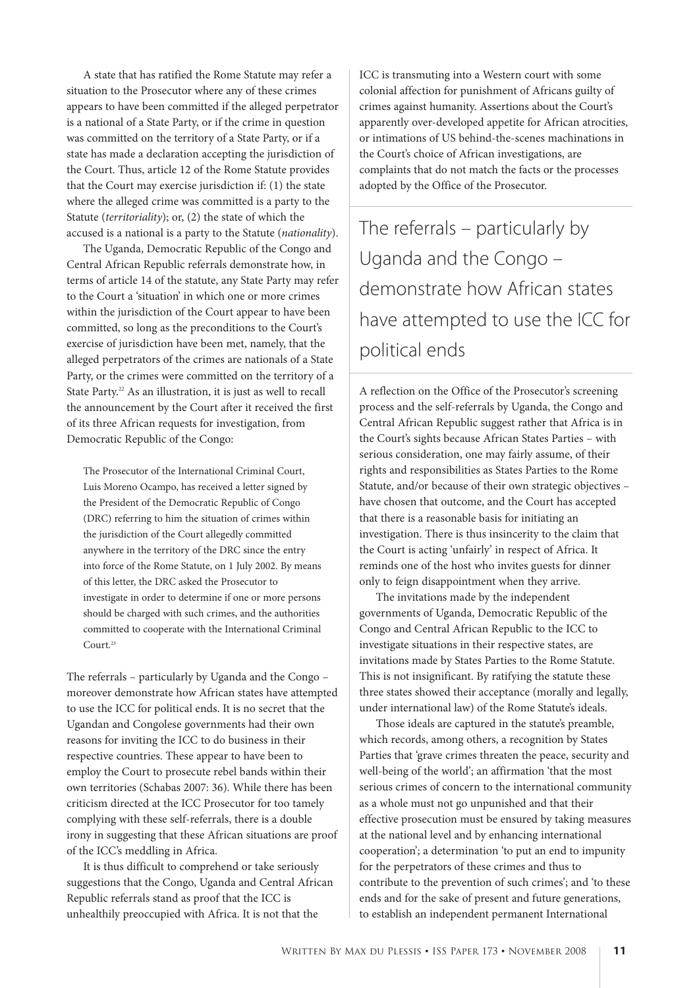A state that has ratified the Rome Statute may refer a situation to the Prosecutor where any of these crimes appears to have been committed if the alleged perpetrator is a national of a State Party, or if the crime in question was committed on the territory of a State Party, or if a state has made a declaration accepting the jurisdiction of the Court. Thus, article 12 of the Rome Statute provides that the Court may exercise jurisdiction if: (1) the state where the alleged crime was committed is a party to the Statute (*territoriality*); or,  $(2)$  the state of which the accused is a national is a party to the Statute (nationality).

The Uganda, Democratic Republic of the Congo and Central African Republic referrals demonstrate how, in terms of article 14 of the statute, any State Party may refer to the Court a 'situation' in which one or more crimes within the jurisdiction of the Court appear to have been committed, so long as the preconditions to the Court's exercise of jurisdiction have been met, namely, that the alleged perpetrators of the crimes are nationals of a State Party, or the crimes were committed on the territory of a State Party.<sup>22</sup> As an illustration, it is just as well to recall the announcement by the Court after it received the first of its three African requests for investigation, from Democratic Republic of the Congo:

The Prosecutor of the International Criminal Court, Luis Moreno Ocampo, has received a letter signed by the President of the Democratic Republic of Congo (DRC) referring to him the situation of crimes within the jurisdiction of the Court allegedly committed anywhere in the territory of the DRC since the entry into force of the Rome Statute, on 1 July 2002. By means of this letter, the DRC asked the Prosecutor to investigate in order to determine if one or more persons should be charged with such crimes, and the authorities committed to cooperate with the International Criminal Court.<sup>23</sup>

The referrals – particularly by Uganda and the Congo – moreover demonstrate how African states have attempted to use the ICC for political ends. It is no secret that the Ugandan and Congolese governments had their own reasons for inviting the ICC to do business in their respective countries. These appear to have been to employ the Court to prosecute rebel bands within their own territories (Schabas 2007: 36). While there has been criticism directed at the ICC Prosecutor for too tamely complying with these self-referrals, there is a double irony in suggesting that these African situations are proof of the ICC's meddling in Africa.

It is thus difficult to comprehend or take seriously suggestions that the Congo, Uganda and Central African Republic referrals stand as proof that the ICC is unhealthily preoccupied with Africa. It is not that the

ICC is transmuting into a Western court with some colonial affection for punishment of Africans guilty of crimes against humanity. Assertions about the Court's apparently over-developed appetite for African atrocities, or intimations of US behind-the-scenes machinations in the Court's choice of African investigations, are complaints that do not match the facts or the processes adopted by the Office of the Prosecutor.

The referrals – particularly by Uganda and the Congo – demonstrate how African states have attempted to use the ICC for political ends

A reflection on the Office of the Prosecutor's screening process and the self-referrals by Uganda, the Congo and Central African Republic suggest rather that Africa is in the Court's sights because African States Parties – with serious consideration, one may fairly assume, of their rights and responsibilities as States Parties to the Rome Statute, and/or because of their own strategic objectives – have chosen that outcome, and the Court has accepted that there is a reasonable basis for initiating an investigation. There is thus insincerity to the claim that the Court is acting 'unfairly' in respect of Africa. It reminds one of the host who invites guests for dinner only to feign disappointment when they arrive.

The invitations made by the independent governments of Uganda, Democratic Republic of the Congo and Central African Republic to the ICC to investigate situations in their respective states, are invitations made by States Parties to the Rome Statute. This is not insignificant. By ratifying the statute these three states showed their acceptance (morally and legally, under international law) of the Rome Statute's ideals.

Those ideals are captured in the statute's preamble, which records, among others, a recognition by States Parties that 'grave crimes threaten the peace, security and well-being of the world'; an affirmation 'that the most serious crimes of concern to the international community as a whole must not go unpunished and that their effective prosecution must be ensured by taking measures at the national level and by enhancing international cooperation'; a determination 'to put an end to impunity for the perpetrators of these crimes and thus to contribute to the prevention of such crimes'; and 'to these ends and for the sake of present and future generations, to establish an independent permanent International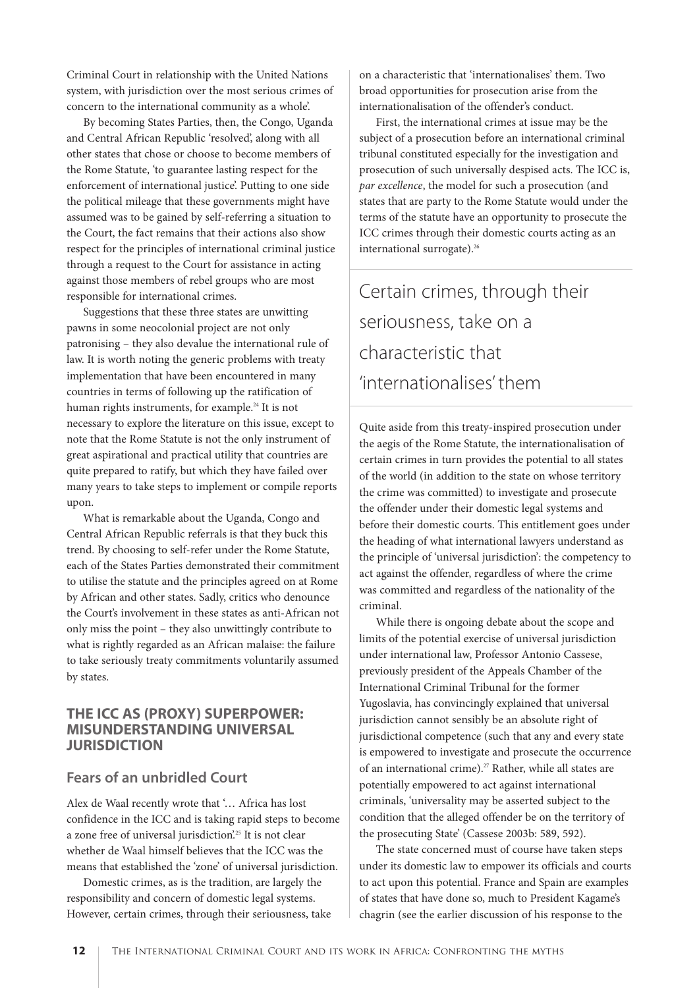Criminal Court in relationship with the United Nations system, with jurisdiction over the most serious crimes of concern to the international community as a whole'.

By becoming States Parties, then, the Congo, Uganda and Central African Republic 'resolved', along with all other states that chose or choose to become members of the Rome Statute, 'to guarantee lasting respect for the enforcement of international justice'. Putting to one side the political mileage that these governments might have assumed was to be gained by self-referring a situation to the Court, the fact remains that their actions also show respect for the principles of international criminal justice through a request to the Court for assistance in acting against those members of rebel groups who are most responsible for international crimes.

Suggestions that these three states are unwitting pawns in some neocolonial project are not only patronising – they also devalue the international rule of law. It is worth noting the generic problems with treaty implementation that have been encountered in many countries in terms of following up the ratification of human rights instruments, for example.<sup>24</sup> It is not necessary to explore the literature on this issue, except to note that the Rome Statute is not the only instrument of great aspirational and practical utility that countries are quite prepared to ratify, but which they have failed over many years to take steps to implement or compile reports upon.

What is remarkable about the Uganda, Congo and Central African Republic referrals is that they buck this trend. By choosing to self-refer under the Rome Statute, each of the States Parties demonstrated their commitment to utilise the statute and the principles agreed on at Rome by African and other states. Sadly, critics who denounce the Court's involvement in these states as anti-African not only miss the point – they also unwittingly contribute to what is rightly regarded as an African malaise: the failure to take seriously treaty commitments voluntarily assumed by states.

#### **THE ICC AS (PROXY) SUPERPOWER: MISUNDERSTANDING UNIVERSAL JURISDICTION**

#### **Fears of an unbridled Court**

Alex de Waal recently wrote that '… Africa has lost confidence in the ICC and is taking rapid steps to become a zone free of universal jurisdiction.<sup>25</sup> It is not clear whether de Waal himself believes that the ICC was the means that established the 'zone' of universal jurisdiction.

Domestic crimes, as is the tradition, are largely the responsibility and concern of domestic legal systems. However, certain crimes, through their seriousness, take on a characteristic that 'internationalises' them. Two broad opportunities for prosecution arise from the internationalisation of the offender's conduct.

First, the international crimes at issue may be the subject of a prosecution before an international criminal tribunal constituted especially for the investigation and prosecution of such universally despised acts. The ICC is, par excellence, the model for such a prosecution (and states that are party to the Rome Statute would under the terms of the statute have an opportunity to prosecute the ICC crimes through their domestic courts acting as an international surrogate).<sup>26</sup>

# Certain crimes, through their seriousness, take on a characteristic that 'internationalises' them

Quite aside from this treaty-inspired prosecution under the aegis of the Rome Statute, the internationalisation of certain crimes in turn provides the potential to all states of the world (in addition to the state on whose territory the crime was committed) to investigate and prosecute the offender under their domestic legal systems and before their domestic courts. This entitlement goes under the heading of what international lawyers understand as the principle of 'universal jurisdiction': the competency to act against the offender, regardless of where the crime was committed and regardless of the nationality of the criminal.

While there is ongoing debate about the scope and limits of the potential exercise of universal jurisdiction under international law, Professor Antonio Cassese, previously president of the Appeals Chamber of the International Criminal Tribunal for the former Yugoslavia, has convincingly explained that universal jurisdiction cannot sensibly be an absolute right of jurisdictional competence (such that any and every state is empowered to investigate and prosecute the occurrence of an international crime).<sup>27</sup> Rather, while all states are potentially empowered to act against international criminals, 'universality may be asserted subject to the condition that the alleged offender be on the territory of the prosecuting State' (Cassese 2003b: 589, 592).

The state concerned must of course have taken steps under its domestic law to empower its officials and courts to act upon this potential. France and Spain are examples of states that have done so, much to President Kagame's chagrin (see the earlier discussion of his response to the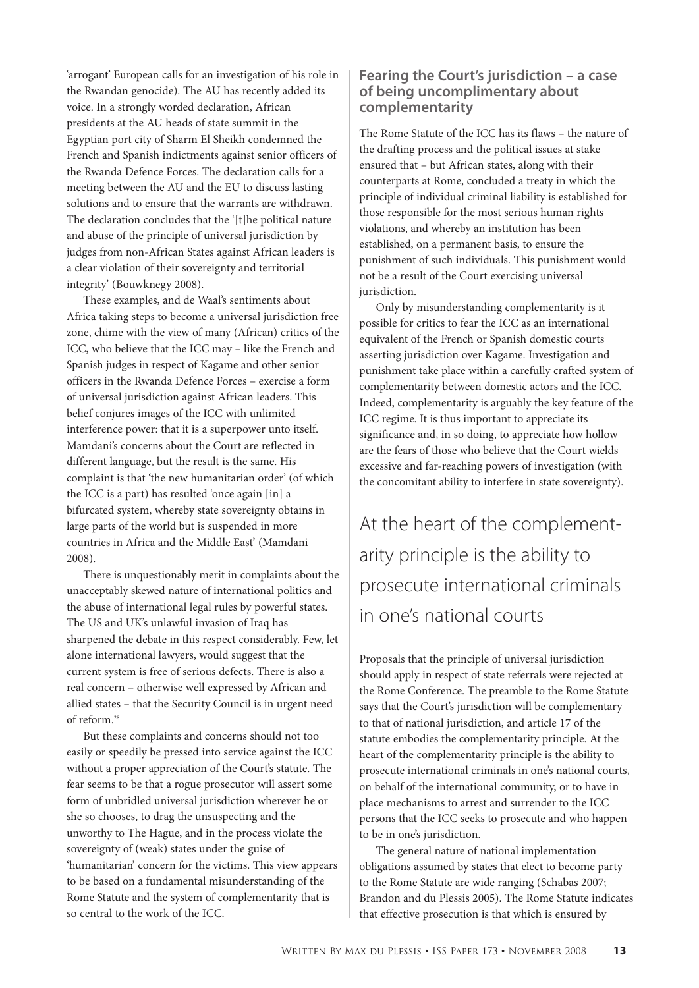'arrogant' European calls for an investigation of his role in the Rwandan genocide). The AU has recently added its voice. In a strongly worded declaration, African presidents at the AU heads of state summit in the Egyptian port city of Sharm El Sheikh condemned the French and Spanish indictments against senior officers of the Rwanda Defence Forces. The declaration calls for a meeting between the AU and the EU to discuss lasting solutions and to ensure that the warrants are withdrawn. The declaration concludes that the '[t]he political nature and abuse of the principle of universal jurisdiction by judges from non-African States against African leaders is a clear violation of their sovereignty and territorial integrity' (Bouwknegy 2008).

These examples, and de Waal's sentiments about Africa taking steps to become a universal jurisdiction free zone, chime with the view of many (African) critics of the ICC, who believe that the ICC may – like the French and Spanish judges in respect of Kagame and other senior officers in the Rwanda Defence Forces – exercise a form of universal jurisdiction against African leaders. This belief conjures images of the ICC with unlimited interference power: that it is a superpower unto itself. Mamdani's concerns about the Court are reflected in different language, but the result is the same. His complaint is that 'the new humanitarian order' (of which the ICC is a part) has resulted 'once again [in] a bifurcated system, whereby state sovereignty obtains in large parts of the world but is suspended in more countries in Africa and the Middle East' (Mamdani 2008).

There is unquestionably merit in complaints about the unacceptably skewed nature of international politics and the abuse of international legal rules by powerful states. The US and UK's unlawful invasion of Iraq has sharpened the debate in this respect considerably. Few, let alone international lawyers, would suggest that the current system is free of serious defects. There is also a real concern – otherwise well expressed by African and allied states – that the Security Council is in urgent need of reform.28

But these complaints and concerns should not too easily or speedily be pressed into service against the ICC without a proper appreciation of the Court's statute. The fear seems to be that a rogue prosecutor will assert some form of unbridled universal jurisdiction wherever he or she so chooses, to drag the unsuspecting and the unworthy to The Hague, and in the process violate the sovereignty of (weak) states under the guise of 'humanitarian' concern for the victims. This view appears to be based on a fundamental misunderstanding of the Rome Statute and the system of complementarity that is so central to the work of the ICC.

#### **Fearing the Court's jurisdiction – a case of being uncomplimentary about complementarity**

The Rome Statute of the ICC has its flaws – the nature of the drafting process and the political issues at stake ensured that – but African states, along with their counterparts at Rome, concluded a treaty in which the principle of individual criminal liability is established for those responsible for the most serious human rights violations, and whereby an institution has been established, on a permanent basis, to ensure the punishment of such individuals. This punishment would not be a result of the Court exercising universal jurisdiction.

Only by misunderstanding complementarity is it possible for critics to fear the ICC as an international equivalent of the French or Spanish domestic courts asserting jurisdiction over Kagame. Investigation and punishment take place within a carefully crafted system of complementarity between domestic actors and the ICC. Indeed, complementarity is arguably the key feature of the ICC regime. It is thus important to appreciate its significance and, in so doing, to appreciate how hollow are the fears of those who believe that the Court wields excessive and far-reaching powers of investigation (with the concomitant ability to interfere in state sovereignty).

At the heart of the complementarity principle is the ability to prosecute international criminals in one's national courts

Proposals that the principle of universal jurisdiction should apply in respect of state referrals were rejected at the Rome Conference. The preamble to the Rome Statute says that the Court's jurisdiction will be complementary to that of national jurisdiction, and article 17 of the statute embodies the complementarity principle. At the heart of the complementarity principle is the ability to prosecute international criminals in one's national courts, on behalf of the international community, or to have in place mechanisms to arrest and surrender to the ICC persons that the ICC seeks to prosecute and who happen to be in one's jurisdiction.

The general nature of national implementation obligations assumed by states that elect to become party to the Rome Statute are wide ranging (Schabas 2007; Brandon and du Plessis 2005). The Rome Statute indicates that effective prosecution is that which is ensured by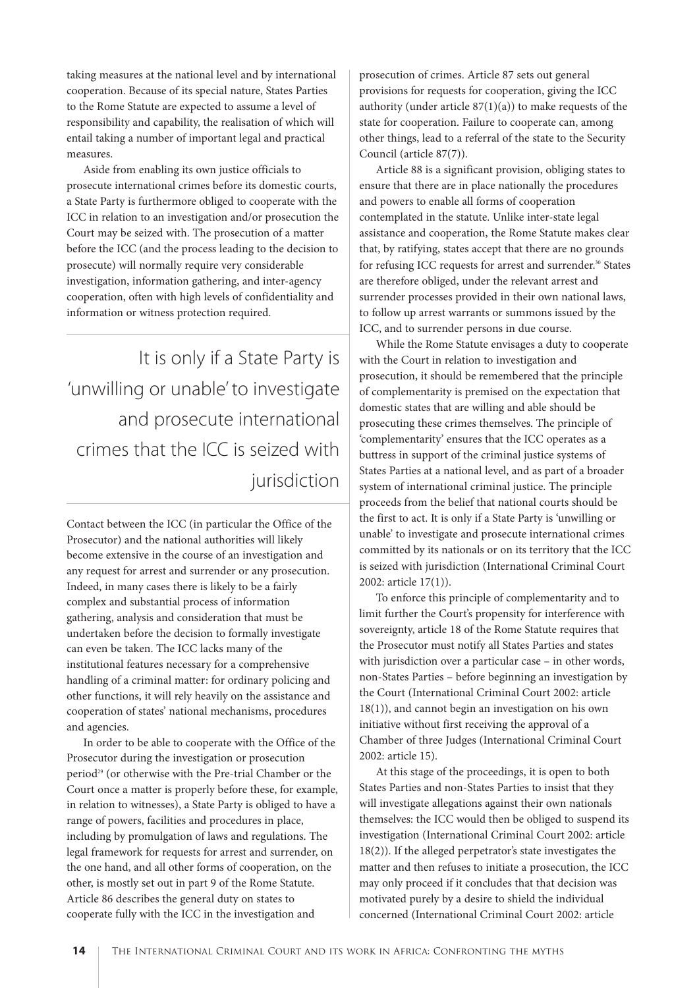taking measures at the national level and by international cooperation. Because of its special nature, States Parties to the Rome Statute are expected to assume a level of responsibility and capability, the realisation of which will entail taking a number of important legal and practical measures.

Aside from enabling its own justice officials to prosecute international crimes before its domestic courts, a State Party is furthermore obliged to cooperate with the ICC in relation to an investigation and/or prosecution the Court may be seized with. The prosecution of a matter before the ICC (and the process leading to the decision to prosecute) will normally require very considerable investigation, information gathering, and inter-agency cooperation, often with high levels of confidentiality and information or witness protection required.

It is only if a State Party is 'unwilling or unable' to investigate and prosecute international crimes that the ICC is seized with jurisdiction

Contact between the ICC (in particular the Office of the Prosecutor) and the national authorities will likely become extensive in the course of an investigation and any request for arrest and surrender or any prosecution. Indeed, in many cases there is likely to be a fairly complex and substantial process of information gathering, analysis and consideration that must be undertaken before the decision to formally investigate can even be taken. The ICC lacks many of the institutional features necessary for a comprehensive handling of a criminal matter: for ordinary policing and other functions, it will rely heavily on the assistance and cooperation of states' national mechanisms, procedures and agencies.

In order to be able to cooperate with the Office of the Prosecutor during the investigation or prosecution period<sup>29</sup> (or otherwise with the Pre-trial Chamber or the Court once a matter is properly before these, for example, in relation to witnesses), a State Party is obliged to have a range of powers, facilities and procedures in place, including by promulgation of laws and regulations. The legal framework for requests for arrest and surrender, on the one hand, and all other forms of cooperation, on the other, is mostly set out in part 9 of the Rome Statute. Article 86 describes the general duty on states to cooperate fully with the ICC in the investigation and

prosecution of crimes. Article 87 sets out general provisions for requests for cooperation, giving the ICC authority (under article  $87(1)(a)$ ) to make requests of the state for cooperation. Failure to cooperate can, among other things, lead to a referral of the state to the Security Council (article 87(7)).

Article 88 is a significant provision, obliging states to ensure that there are in place nationally the procedures and powers to enable all forms of cooperation contemplated in the statute. Unlike inter-state legal assistance and cooperation, the Rome Statute makes clear that, by ratifying, states accept that there are no grounds for refusing ICC requests for arrest and surrender.<sup>30</sup> States are therefore obliged, under the relevant arrest and surrender processes provided in their own national laws, to follow up arrest warrants or summons issued by the ICC, and to surrender persons in due course.

While the Rome Statute envisages a duty to cooperate with the Court in relation to investigation and prosecution, it should be remembered that the principle of complementarity is premised on the expectation that domestic states that are willing and able should be prosecuting these crimes themselves. The principle of 'complementarity' ensures that the ICC operates as a buttress in support of the criminal justice systems of States Parties at a national level, and as part of a broader system of international criminal justice. The principle proceeds from the belief that national courts should be the first to act. It is only if a State Party is 'unwilling or unable' to investigate and prosecute international crimes committed by its nationals or on its territory that the ICC is seized with jurisdiction (International Criminal Court 2002: article 17(1)).

To enforce this principle of complementarity and to limit further the Court's propensity for interference with sovereignty, article 18 of the Rome Statute requires that the Prosecutor must notify all States Parties and states with jurisdiction over a particular case – in other words, non-States Parties – before beginning an investigation by the Court (International Criminal Court 2002: article 18(1)), and cannot begin an investigation on his own initiative without first receiving the approval of a Chamber of three Judges (International Criminal Court 2002: article 15).

At this stage of the proceedings, it is open to both States Parties and non-States Parties to insist that they will investigate allegations against their own nationals themselves: the ICC would then be obliged to suspend its investigation (International Criminal Court 2002: article 18(2)). If the alleged perpetrator's state investigates the matter and then refuses to initiate a prosecution, the ICC may only proceed if it concludes that that decision was motivated purely by a desire to shield the individual concerned (International Criminal Court 2002: article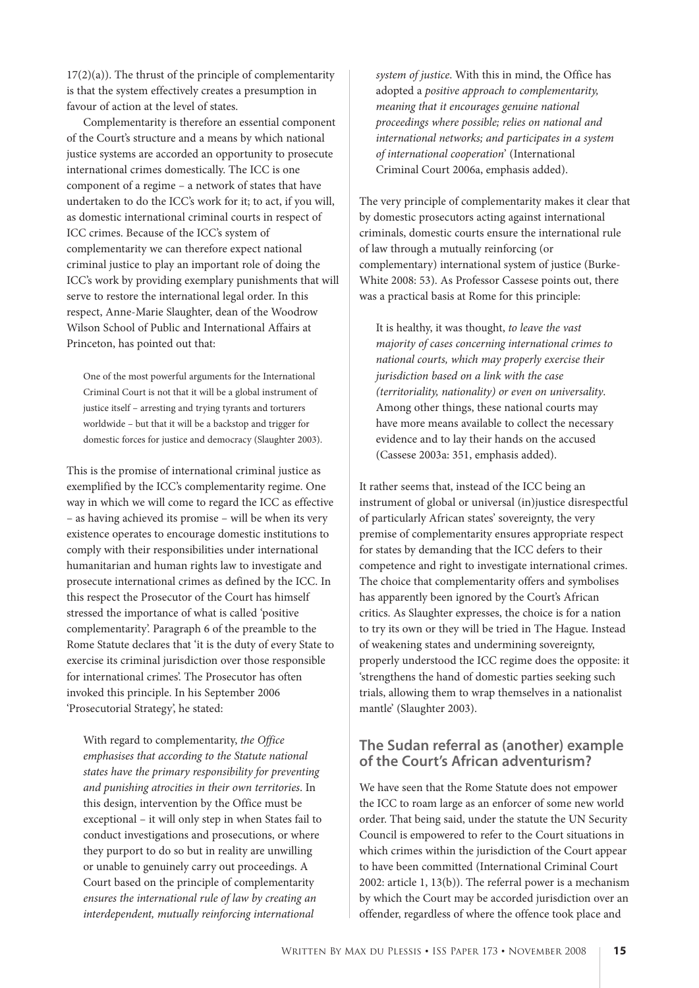$17(2)(a)$ ). The thrust of the principle of complementarity is that the system effectively creates a presumption in favour of action at the level of states.

Complementarity is therefore an essential component of the Court's structure and a means by which national justice systems are accorded an opportunity to prosecute international crimes domestically. The ICC is one component of a regime – a network of states that have undertaken to do the ICC's work for it; to act, if you will, as domestic international criminal courts in respect of ICC crimes. Because of the ICC's system of complementarity we can therefore expect national criminal justice to play an important role of doing the ICC's work by providing exemplary punishments that will serve to restore the international legal order. In this respect, Anne-Marie Slaughter, dean of the Woodrow Wilson School of Public and International Affairs at Princeton, has pointed out that:

One of the most powerful arguments for the International Criminal Court is not that it will be a global instrument of justice itself – arresting and trying tyrants and torturers worldwide – but that it will be a backstop and trigger for domestic forces for justice and democracy (Slaughter 2003).

This is the promise of international criminal justice as exemplified by the ICC's complementarity regime. One way in which we will come to regard the ICC as effective – as having achieved its promise – will be when its very existence operates to encourage domestic institutions to comply with their responsibilities under international humanitarian and human rights law to investigate and prosecute international crimes as defined by the ICC. In this respect the Prosecutor of the Court has himself stressed the importance of what is called 'positive complementarity'. Paragraph 6 of the preamble to the Rome Statute declares that 'it is the duty of every State to exercise its criminal jurisdiction over those responsible for international crimes'. The Prosecutor has often invoked this principle. In his September 2006 'Prosecutorial Strategy', he stated:

With regard to complementarity, the Office emphasises that according to the Statute national states have the primary responsibility for preventing and punishing atrocities in their own territories. In this design, intervention by the Office must be exceptional – it will only step in when States fail to conduct investigations and prosecutions, or where they purport to do so but in reality are unwilling or unable to genuinely carry out proceedings. A Court based on the principle of complementarity ensures the international rule of law by creating an interdependent, mutually reinforcing international

system of justice. With this in mind, the Office has adopted a positive approach to complementarity, meaning that it encourages genuine national proceedings where possible; relies on national and international networks; and participates in a system of international cooperation' (International Criminal Court 2006a, emphasis added).

The very principle of complementarity makes it clear that by domestic prosecutors acting against international criminals, domestic courts ensure the international rule of law through a mutually reinforcing (or complementary) international system of justice (Burke-White 2008: 53). As Professor Cassese points out, there was a practical basis at Rome for this principle:

It is healthy, it was thought, to leave the vast majority of cases concerning international crimes to national courts, which may properly exercise their jurisdiction based on a link with the case (territoriality, nationality) or even on universality. Among other things, these national courts may have more means available to collect the necessary evidence and to lay their hands on the accused (Cassese 2003a: 351, emphasis added).

It rather seems that, instead of the ICC being an instrument of global or universal (in)justice disrespectful of particularly African states' sovereignty, the very premise of complementarity ensures appropriate respect for states by demanding that the ICC defers to their competence and right to investigate international crimes. The choice that complementarity offers and symbolises has apparently been ignored by the Court's African critics. As Slaughter expresses, the choice is for a nation to try its own or they will be tried in The Hague. Instead of weakening states and undermining sovereignty, properly understood the ICC regime does the opposite: it 'strengthens the hand of domestic parties seeking such trials, allowing them to wrap themselves in a nationalist mantle' (Slaughter 2003).

#### **The Sudan referral as (another) example of the Court's African adventurism?**

We have seen that the Rome Statute does not empower the ICC to roam large as an enforcer of some new world order. That being said, under the statute the UN Security Council is empowered to refer to the Court situations in which crimes within the jurisdiction of the Court appear to have been committed (International Criminal Court 2002: article 1, 13(b)). The referral power is a mechanism by which the Court may be accorded jurisdiction over an offender, regardless of where the offence took place and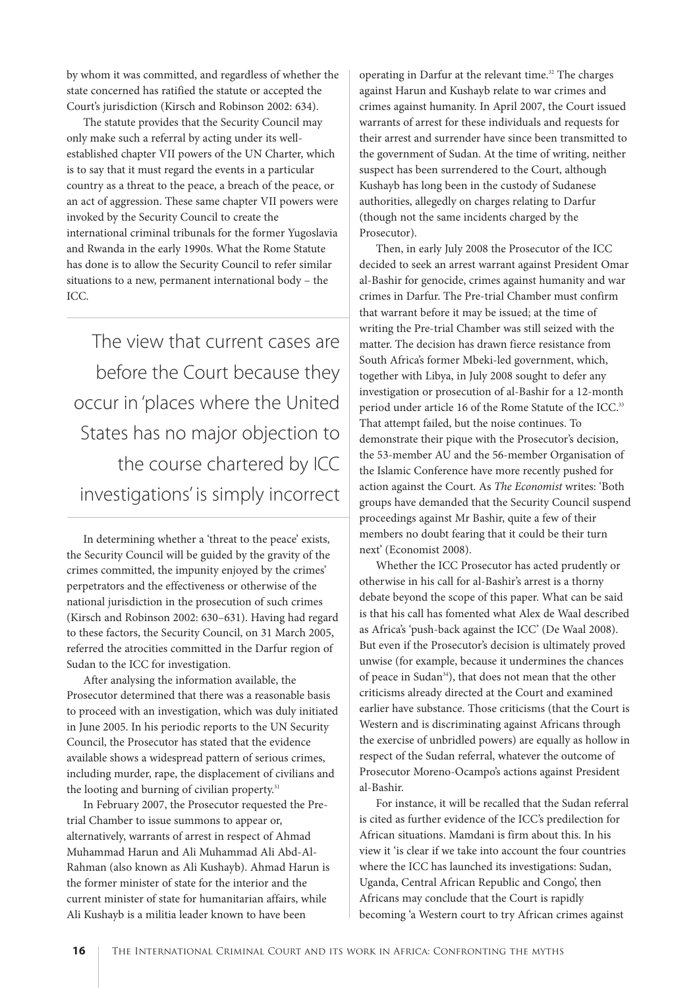by whom it was committed, and regardless of whether the state concerned has ratified the statute or accepted the Court's jurisdiction (Kirsch and Robinson 2002: 634).

The statute provides that the Security Council may only make such a referral by acting under its wellestablished chapter VII powers of the UN Charter, which is to say that it must regard the events in a particular country as a threat to the peace, a breach of the peace, or an act of aggression. These same chapter VII powers were invoked by the Security Council to create the international criminal tribunals for the former Yugoslavia and Rwanda in the early 1990s. What the Rome Statute has done is to allow the Security Council to refer similar situations to a new, permanent international body – the ICC.

The view that current cases are before the Court because they occur in 'places where the United States has no major objection to the course chartered by ICC investigations' is simply incorrect

In determining whether a 'threat to the peace' exists, the Security Council will be guided by the gravity of the crimes committed, the impunity enjoyed by the crimes' perpetrators and the effectiveness or otherwise of the national jurisdiction in the prosecution of such crimes (Kirsch and Robinson 2002: 630–631). Having had regard to these factors, the Security Council, on 31 March 2005, referred the atrocities committed in the Darfur region of Sudan to the ICC for investigation.

After analysing the information available, the Prosecutor determined that there was a reasonable basis to proceed with an investigation, which was duly initiated in June 2005. In his periodic reports to the UN Security Council, the Prosecutor has stated that the evidence available shows a widespread pattern of serious crimes, including murder, rape, the displacement of civilians and the looting and burning of civilian property.<sup>31</sup>

In February 2007, the Prosecutor requested the Pretrial Chamber to issue summons to appear or, alternatively, warrants of arrest in respect of Ahmad Muhammad Harun and Ali Muhammad Ali Abd-Al-Rahman (also known as Ali Kushayb). Ahmad Harun is the former minister of state for the interior and the current minister of state for humanitarian affairs, while Ali Kushayb is a militia leader known to have been

operating in Darfur at the relevant time.<sup>32</sup> The charges against Harun and Kushayb relate to war crimes and crimes against humanity. In April 2007, the Court issued warrants of arrest for these individuals and requests for their arrest and surrender have since been transmitted to the government of Sudan. At the time of writing, neither suspect has been surrendered to the Court, although Kushayb has long been in the custody of Sudanese authorities, allegedly on charges relating to Darfur (though not the same incidents charged by the Prosecutor).

Then, in early July 2008 the Prosecutor of the ICC decided to seek an arrest warrant against President Omar al-Bashir for genocide, crimes against humanity and war crimes in Darfur. The Pre-trial Chamber must confirm that warrant before it may be issued; at the time of writing the Pre-trial Chamber was still seized with the matter. The decision has drawn fierce resistance from South Africa's former Mbeki-led government, which, together with Libya, in July 2008 sought to defer any investigation or prosecution of al-Bashir for a 12-month period under article 16 of the Rome Statute of the ICC.<sup>33</sup> That attempt failed, but the noise continues. To demonstrate their pique with the Prosecutor's decision, the 53-member AU and the 56-member Organisation of the Islamic Conference have more recently pushed for action against the Court. As The Economist writes: 'Both groups have demanded that the Security Council suspend proceedings against Mr Bashir, quite a few of their members no doubt fearing that it could be their turn next' (Economist 2008).

Whether the ICC Prosecutor has acted prudently or otherwise in his call for al-Bashir's arrest is a thorny debate beyond the scope of this paper. What can be said is that his call has fomented what Alex de Waal described as Africa's 'push-back against the ICC' (De Waal 2008). But even if the Prosecutor's decision is ultimately proved unwise (for example, because it undermines the chances of peace in Sudan<sup>34</sup>), that does not mean that the other criticisms already directed at the Court and examined earlier have substance. Those criticisms (that the Court is Western and is discriminating against Africans through the exercise of unbridled powers) are equally as hollow in respect of the Sudan referral, whatever the outcome of Prosecutor Moreno-Ocampo's actions against President al-Bashir.

For instance, it will be recalled that the Sudan referral is cited as further evidence of the ICC's predilection for African situations. Mamdani is firm about this. In his view it 'is clear if we take into account the four countries where the ICC has launched its investigations: Sudan, Uganda, Central African Republic and Congo', then Africans may conclude that the Court is rapidly becoming 'a Western court to try African crimes against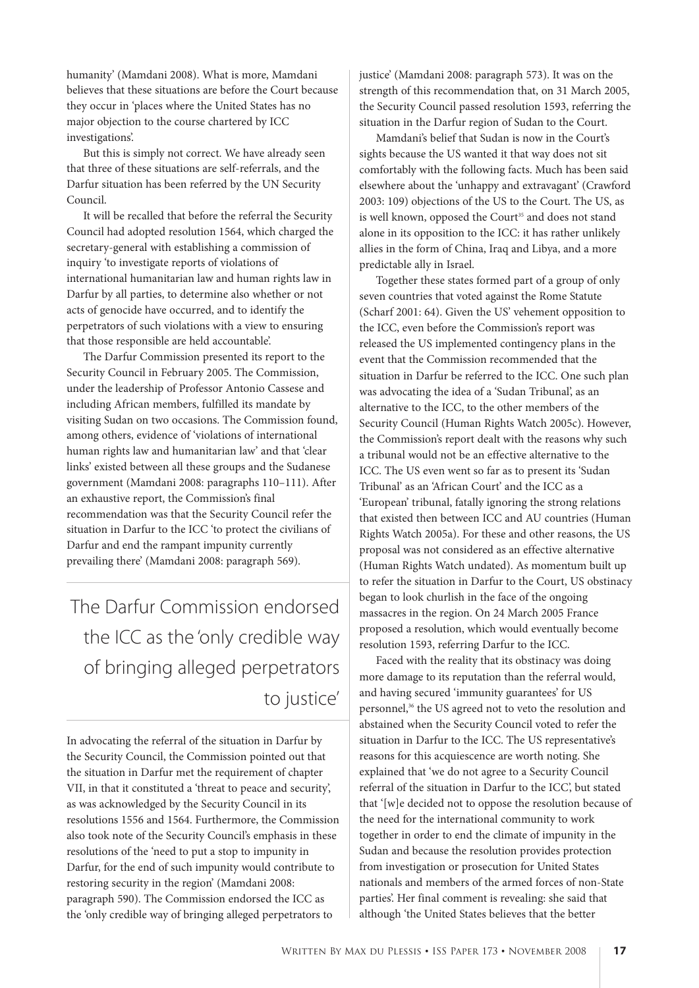humanity' (Mamdani 2008). What is more, Mamdani believes that these situations are before the Court because they occur in 'places where the United States has no major objection to the course chartered by ICC investigations'.

But this is simply not correct. We have already seen that three of these situations are self-referrals, and the Darfur situation has been referred by the UN Security Council.

It will be recalled that before the referral the Security Council had adopted resolution 1564, which charged the secretary-general with establishing a commission of inquiry 'to investigate reports of violations of international humanitarian law and human rights law in Darfur by all parties, to determine also whether or not acts of genocide have occurred, and to identify the perpetrators of such violations with a view to ensuring that those responsible are held accountable'.

The Darfur Commission presented its report to the Security Council in February 2005. The Commission, under the leadership of Professor Antonio Cassese and including African members, fulfilled its mandate by visiting Sudan on two occasions. The Commission found, among others, evidence of 'violations of international human rights law and humanitarian law' and that 'clear links' existed between all these groups and the Sudanese government (Mamdani 2008: paragraphs 110–111). After an exhaustive report, the Commission's final recommendation was that the Security Council refer the situation in Darfur to the ICC 'to protect the civilians of Darfur and end the rampant impunity currently prevailing there' (Mamdani 2008: paragraph 569).

The Darfur Commission endorsed the ICC as the 'only credible way of bringing alleged perpetrators to justice'

In advocating the referral of the situation in Darfur by the Security Council, the Commission pointed out that the situation in Darfur met the requirement of chapter VII, in that it constituted a 'threat to peace and security', as was acknowledged by the Security Council in its resolutions 1556 and 1564. Furthermore, the Commission also took note of the Security Council's emphasis in these resolutions of the 'need to put a stop to impunity in Darfur, for the end of such impunity would contribute to restoring security in the region' (Mamdani 2008: paragraph 590). The Commission endorsed the ICC as the 'only credible way of bringing alleged perpetrators to

justice' (Mamdani 2008: paragraph 573). It was on the strength of this recommendation that, on 31 March 2005, the Security Council passed resolution 1593, referring the situation in the Darfur region of Sudan to the Court.

Mamdani's belief that Sudan is now in the Court's sights because the US wanted it that way does not sit comfortably with the following facts. Much has been said elsewhere about the 'unhappy and extravagant' (Crawford 2003: 109) objections of the US to the Court. The US, as is well known, opposed the Court<sup>35</sup> and does not stand alone in its opposition to the ICC: it has rather unlikely allies in the form of China, Iraq and Libya, and a more predictable ally in Israel.

Together these states formed part of a group of only seven countries that voted against the Rome Statute (Scharf 2001: 64). Given the US' vehement opposition to the ICC, even before the Commission's report was released the US implemented contingency plans in the event that the Commission recommended that the situation in Darfur be referred to the ICC. One such plan was advocating the idea of a 'Sudan Tribunal', as an alternative to the ICC, to the other members of the Security Council (Human Rights Watch 2005c). However, the Commission's report dealt with the reasons why such a tribunal would not be an effective alternative to the ICC. The US even went so far as to present its 'Sudan Tribunal' as an 'African Court' and the ICC as a 'European' tribunal, fatally ignoring the strong relations that existed then between ICC and AU countries (Human Rights Watch 2005a). For these and other reasons, the US proposal was not considered as an effective alternative (Human Rights Watch undated). As momentum built up to refer the situation in Darfur to the Court, US obstinacy began to look churlish in the face of the ongoing massacres in the region. On 24 March 2005 France proposed a resolution, which would eventually become resolution 1593, referring Darfur to the ICC.

Faced with the reality that its obstinacy was doing more damage to its reputation than the referral would, and having secured 'immunity guarantees' for US personnel,<sup>36</sup> the US agreed not to veto the resolution and abstained when the Security Council voted to refer the situation in Darfur to the ICC. The US representative's reasons for this acquiescence are worth noting. She explained that 'we do not agree to a Security Council referral of the situation in Darfur to the ICC', but stated that '[w]e decided not to oppose the resolution because of the need for the international community to work together in order to end the climate of impunity in the Sudan and because the resolution provides protection from investigation or prosecution for United States nationals and members of the armed forces of non-State parties'. Her final comment is revealing: she said that although 'the United States believes that the better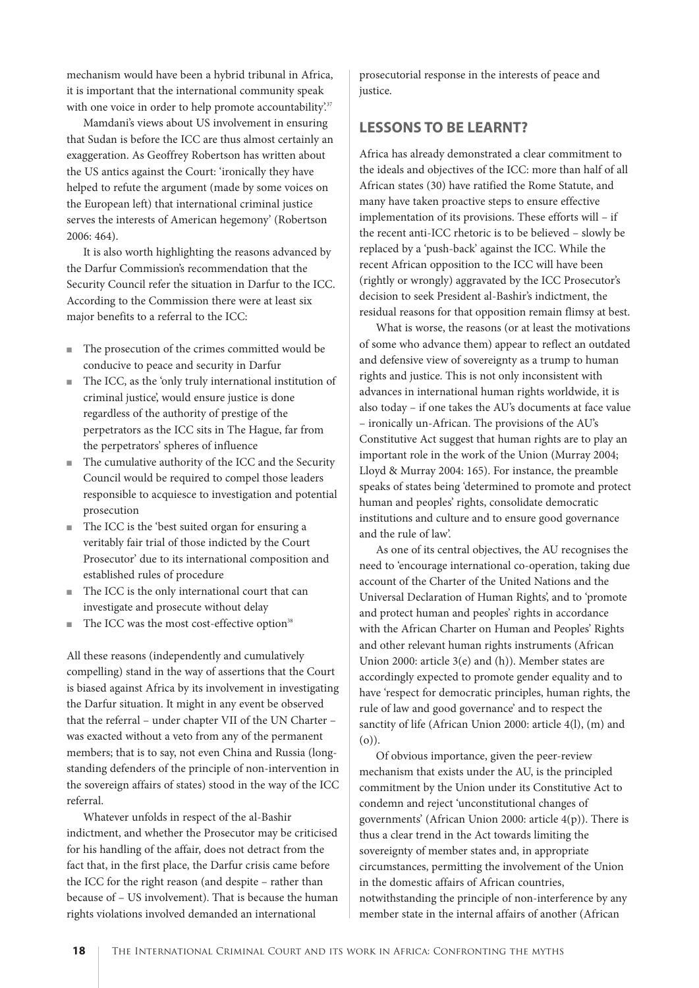mechanism would have been a hybrid tribunal in Africa, it is important that the international community speak with one voice in order to help promote accountability.<sup>37</sup>

Mamdani's views about US involvement in ensuring that Sudan is before the ICC are thus almost certainly an exaggeration. As Geoffrey Robertson has written about the US antics against the Court: 'ironically they have helped to refute the argument (made by some voices on the European left) that international criminal justice serves the interests of American hegemony' (Robertson 2006: 464).

It is also worth highlighting the reasons advanced by the Darfur Commission's recommendation that the Security Council refer the situation in Darfur to the ICC. According to the Commission there were at least six major benefits to a referral to the ICC:

- The prosecution of the crimes committed would be conducive to peace and security in Darfur
- The ICC, as the 'only truly international institution of criminal justice', would ensure justice is done regardless of the authority of prestige of the perpetrators as the ICC sits in The Hague, far from the perpetrators' spheres of influence
- The cumulative authority of the ICC and the Security Council would be required to compel those leaders responsible to acquiesce to investigation and potential prosecution
- The ICC is the 'best suited organ for ensuring a veritably fair trial of those indicted by the Court Prosecutor' due to its international composition and established rules of procedure
- The ICC is the only international court that can investigate and prosecute without delay
- The ICC was the most cost-effective option<sup>38</sup>

All these reasons (independently and cumulatively compelling) stand in the way of assertions that the Court is biased against Africa by its involvement in investigating the Darfur situation. It might in any event be observed that the referral – under chapter VII of the UN Charter – was exacted without a veto from any of the permanent members; that is to say, not even China and Russia (longstanding defenders of the principle of non-intervention in the sovereign affairs of states) stood in the way of the ICC referral.

Whatever unfolds in respect of the al-Bashir indictment, and whether the Prosecutor may be criticised for his handling of the affair, does not detract from the fact that, in the first place, the Darfur crisis came before the ICC for the right reason (and despite – rather than because of – US involvement). That is because the human rights violations involved demanded an international

prosecutorial response in the interests of peace and justice.

#### **LESSONS TO BE LEARNT?**

Africa has already demonstrated a clear commitment to the ideals and objectives of the ICC: more than half of all African states (30) have ratified the Rome Statute, and many have taken proactive steps to ensure effective implementation of its provisions. These efforts will – if the recent anti-ICC rhetoric is to be believed – slowly be replaced by a 'push-back' against the ICC. While the recent African opposition to the ICC will have been (rightly or wrongly) aggravated by the ICC Prosecutor's decision to seek President al-Bashir's indictment, the residual reasons for that opposition remain flimsy at best.

What is worse, the reasons (or at least the motivations of some who advance them) appear to reflect an outdated and defensive view of sovereignty as a trump to human rights and justice. This is not only inconsistent with advances in international human rights worldwide, it is also today – if one takes the AU's documents at face value – ironically un-African. The provisions of the AU's Constitutive Act suggest that human rights are to play an important role in the work of the Union (Murray 2004; Lloyd & Murray 2004: 165). For instance, the preamble speaks of states being 'determined to promote and protect human and peoples' rights, consolidate democratic institutions and culture and to ensure good governance and the rule of law'.

As one of its central objectives, the AU recognises the need to 'encourage international co-operation, taking due account of the Charter of the United Nations and the Universal Declaration of Human Rights', and to 'promote and protect human and peoples' rights in accordance with the African Charter on Human and Peoples' Rights and other relevant human rights instruments (African Union 2000: article 3(e) and (h)). Member states are accordingly expected to promote gender equality and to have 'respect for democratic principles, human rights, the rule of law and good governance' and to respect the sanctity of life (African Union 2000: article 4(l), (m) and (o)).

Of obvious importance, given the peer-review mechanism that exists under the AU, is the principled commitment by the Union under its Constitutive Act to condemn and reject 'unconstitutional changes of governments' (African Union 2000: article 4(p)). There is thus a clear trend in the Act towards limiting the sovereignty of member states and, in appropriate circumstances, permitting the involvement of the Union in the domestic affairs of African countries, notwithstanding the principle of non-interference by any member state in the internal affairs of another (African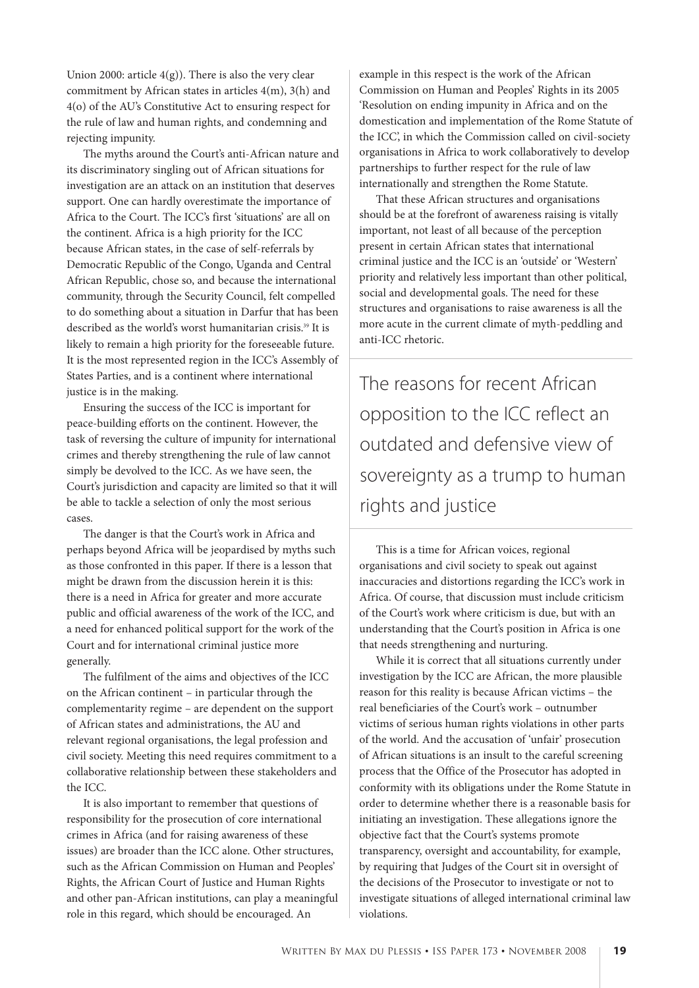Union 2000: article  $4(g)$ ). There is also the very clear commitment by African states in articles 4(m), 3(h) and 4(o) of the AU's Constitutive Act to ensuring respect for the rule of law and human rights, and condemning and rejecting impunity.

The myths around the Court's anti-African nature and its discriminatory singling out of African situations for investigation are an attack on an institution that deserves support. One can hardly overestimate the importance of Africa to the Court. The ICC's first 'situations' are all on the continent. Africa is a high priority for the ICC because African states, in the case of self-referrals by Democratic Republic of the Congo, Uganda and Central African Republic, chose so, and because the international community, through the Security Council, felt compelled to do something about a situation in Darfur that has been described as the world's worst humanitarian crisis.<sup>39</sup> It is likely to remain a high priority for the foreseeable future. It is the most represented region in the ICC's Assembly of States Parties, and is a continent where international justice is in the making.

Ensuring the success of the ICC is important for peace-building efforts on the continent. However, the task of reversing the culture of impunity for international crimes and thereby strengthening the rule of law cannot simply be devolved to the ICC. As we have seen, the Court's jurisdiction and capacity are limited so that it will be able to tackle a selection of only the most serious cases.

The danger is that the Court's work in Africa and perhaps beyond Africa will be jeopardised by myths such as those confronted in this paper. If there is a lesson that might be drawn from the discussion herein it is this: there is a need in Africa for greater and more accurate public and official awareness of the work of the ICC, and a need for enhanced political support for the work of the Court and for international criminal justice more generally.

The fulfilment of the aims and objectives of the ICC on the African continent – in particular through the complementarity regime – are dependent on the support of African states and administrations, the AU and relevant regional organisations, the legal profession and civil society. Meeting this need requires commitment to a collaborative relationship between these stakeholders and the ICC.

It is also important to remember that questions of responsibility for the prosecution of core international crimes in Africa (and for raising awareness of these issues) are broader than the ICC alone. Other structures, such as the African Commission on Human and Peoples' Rights, the African Court of Justice and Human Rights and other pan-African institutions, can play a meaningful role in this regard, which should be encouraged. An

example in this respect is the work of the African Commission on Human and Peoples' Rights in its 2005 'Resolution on ending impunity in Africa and on the domestication and implementation of the Rome Statute of the ICC', in which the Commission called on civil-society organisations in Africa to work collaboratively to develop partnerships to further respect for the rule of law internationally and strengthen the Rome Statute.

That these African structures and organisations should be at the forefront of awareness raising is vitally important, not least of all because of the perception present in certain African states that international criminal justice and the ICC is an 'outside' or 'Western' priority and relatively less important than other political, social and developmental goals. The need for these structures and organisations to raise awareness is all the more acute in the current climate of myth-peddling and anti-ICC rhetoric.

The reasons for recent African opposition to the ICC reflect an outdated and defensive view of sovereignty as a trump to human rights and justice

This is a time for African voices, regional organisations and civil society to speak out against inaccuracies and distortions regarding the ICC's work in Africa. Of course, that discussion must include criticism of the Court's work where criticism is due, but with an understanding that the Court's position in Africa is one that needs strengthening and nurturing.

While it is correct that all situations currently under investigation by the ICC are African, the more plausible reason for this reality is because African victims – the real beneficiaries of the Court's work – outnumber victims of serious human rights violations in other parts of the world. And the accusation of 'unfair' prosecution of African situations is an insult to the careful screening process that the Office of the Prosecutor has adopted in conformity with its obligations under the Rome Statute in order to determine whether there is a reasonable basis for initiating an investigation. These allegations ignore the objective fact that the Court's systems promote transparency, oversight and accountability, for example, by requiring that Judges of the Court sit in oversight of the decisions of the Prosecutor to investigate or not to investigate situations of alleged international criminal law violations.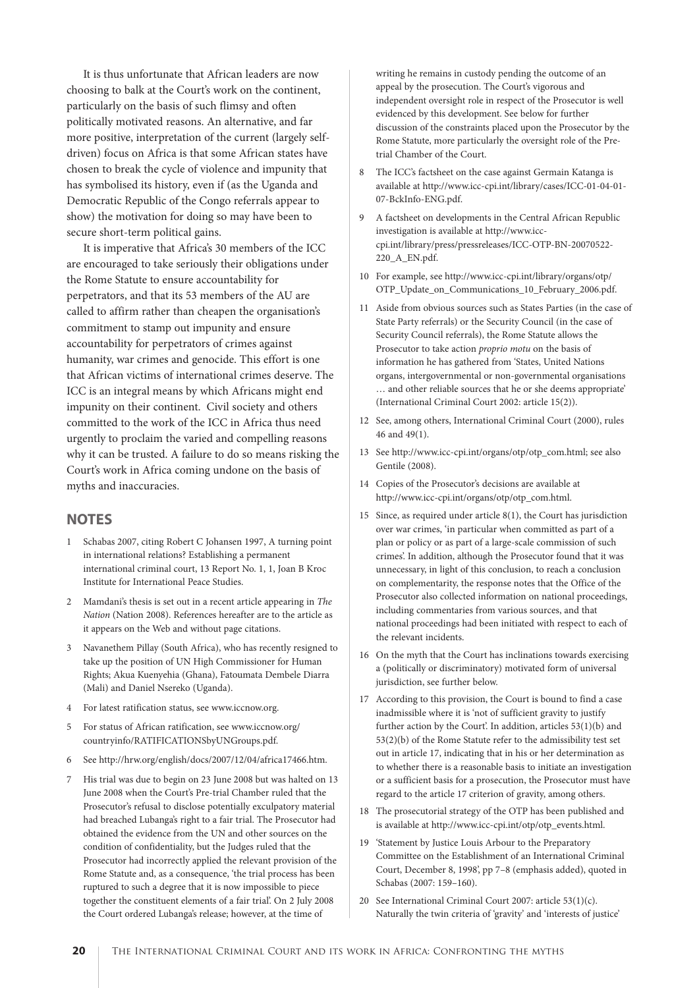It is thus unfortunate that African leaders are now choosing to balk at the Court's work on the continent, particularly on the basis of such flimsy and often politically motivated reasons. An alternative, and far more positive, interpretation of the current (largely selfdriven) focus on Africa is that some African states have chosen to break the cycle of violence and impunity that has symbolised its history, even if (as the Uganda and Democratic Republic of the Congo referrals appear to show) the motivation for doing so may have been to secure short-term political gains.

It is imperative that Africa's 30 members of the ICC are encouraged to take seriously their obligations under the Rome Statute to ensure accountability for perpetrators, and that its 53 members of the AU are called to affirm rather than cheapen the organisation's commitment to stamp out impunity and ensure accountability for perpetrators of crimes against humanity, war crimes and genocide. This effort is one that African victims of international crimes deserve. The ICC is an integral means by which Africans might end impunity on their continent. Civil society and others committed to the work of the ICC in Africa thus need urgently to proclaim the varied and compelling reasons why it can be trusted. A failure to do so means risking the Court's work in Africa coming undone on the basis of myths and inaccuracies.

#### **NOTES**

- 1 Schabas 2007, citing Robert C Johansen 1997, A turning point in international relations? Establishing a permanent international criminal court, 13 Report No. 1, 1, Joan B Kroc Institute for International Peace Studies.
- 2 Mamdani's thesis is set out in a recent article appearing in The Nation (Nation 2008). References hereafter are to the article as it appears on the Web and without page citations.
- 3 Navanethem Pillay (South Africa), who has recently resigned to take up the position of UN High Commissioner for Human Rights; Akua Kuenyehia (Ghana), Fatoumata Dembele Diarra (Mali) and Daniel Nsereko (Uganda).
- 4 For latest ratification status, see www.iccnow.org.
- 5 For status of African ratification, see www.iccnow.org/ countryinfo/RATIFICATIONSbyUNGroups.pdf.
- 6 See http://hrw.org/english/docs/2007/12/04/africa17466.htm.
- 7 His trial was due to begin on 23 June 2008 but was halted on 13 June 2008 when the Court's Pre-trial Chamber ruled that the Prosecutor's refusal to disclose potentially exculpatory material had breached Lubanga's right to a fair trial. The Prosecutor had obtained the evidence from the UN and other sources on the condition of confidentiality, but the Judges ruled that the Prosecutor had incorrectly applied the relevant provision of the Rome Statute and, as a consequence, 'the trial process has been ruptured to such a degree that it is now impossible to piece together the constituent elements of a fair trial'. On 2 July 2008 the Court ordered Lubanga's release; however, at the time of

writing he remains in custody pending the outcome of an appeal by the prosecution. The Court's vigorous and independent oversight role in respect of the Prosecutor is well evidenced by this development. See below for further discussion of the constraints placed upon the Prosecutor by the Rome Statute, more particularly the oversight role of the Pretrial Chamber of the Court.

- 8 The ICC's factsheet on the case against Germain Katanga is available at http://www.icc-cpi.int/library/cases/ICC-01-04-01- 07-BckInfo-ENG.pdf.
- 9 A factsheet on developments in the Central African Republic investigation is available at http://www.icccpi.int/library/press/pressreleases/ICC-OTP-BN-20070522- 220\_A\_EN.pdf.
- 10 For example, see http://www.icc-cpi.int/library/organs/otp/ OTP\_Update\_on\_Communications\_10\_February\_2006.pdf.
- 11 Aside from obvious sources such as States Parties (in the case of State Party referrals) or the Security Council (in the case of Security Council referrals), the Rome Statute allows the Prosecutor to take action proprio motu on the basis of information he has gathered from 'States, United Nations organs, intergovernmental or non-governmental organisations … and other reliable sources that he or she deems appropriate' (International Criminal Court 2002: article 15(2)).
- 12 See, among others, International Criminal Court (2000), rules 46 and 49(1).
- 13 See http://www.icc-cpi.int/organs/otp/otp\_com.html; see also Gentile (2008).
- 14 Copies of the Prosecutor's decisions are available at http://www.icc-cpi.int/organs/otp/otp\_com.html.
- 15 Since, as required under article 8(1), the Court has jurisdiction over war crimes, 'in particular when committed as part of a plan or policy or as part of a large-scale commission of such crimes'. In addition, although the Prosecutor found that it was unnecessary, in light of this conclusion, to reach a conclusion on complementarity, the response notes that the Office of the Prosecutor also collected information on national proceedings, including commentaries from various sources, and that national proceedings had been initiated with respect to each of the relevant incidents.
- 16 On the myth that the Court has inclinations towards exercising a (politically or discriminatory) motivated form of universal jurisdiction, see further below.
- 17 According to this provision, the Court is bound to find a case inadmissible where it is 'not of sufficient gravity to justify further action by the Court'. In addition, articles 53(1)(b) and 53(2)(b) of the Rome Statute refer to the admissibility test set out in article 17, indicating that in his or her determination as to whether there is a reasonable basis to initiate an investigation or a sufficient basis for a prosecution, the Prosecutor must have regard to the article 17 criterion of gravity, among others.
- 18 The prosecutorial strategy of the OTP has been published and is available at http://www.icc-cpi.int/otp/otp\_events.html.
- 19 'Statement by Justice Louis Arbour to the Preparatory Committee on the Establishment of an International Criminal Court, December 8, 1998', pp 7–8 (emphasis added), quoted in Schabas (2007: 159–160).
- 20 See International Criminal Court 2007: article 53(1)(c). Naturally the twin criteria of 'gravity' and 'interests of justice'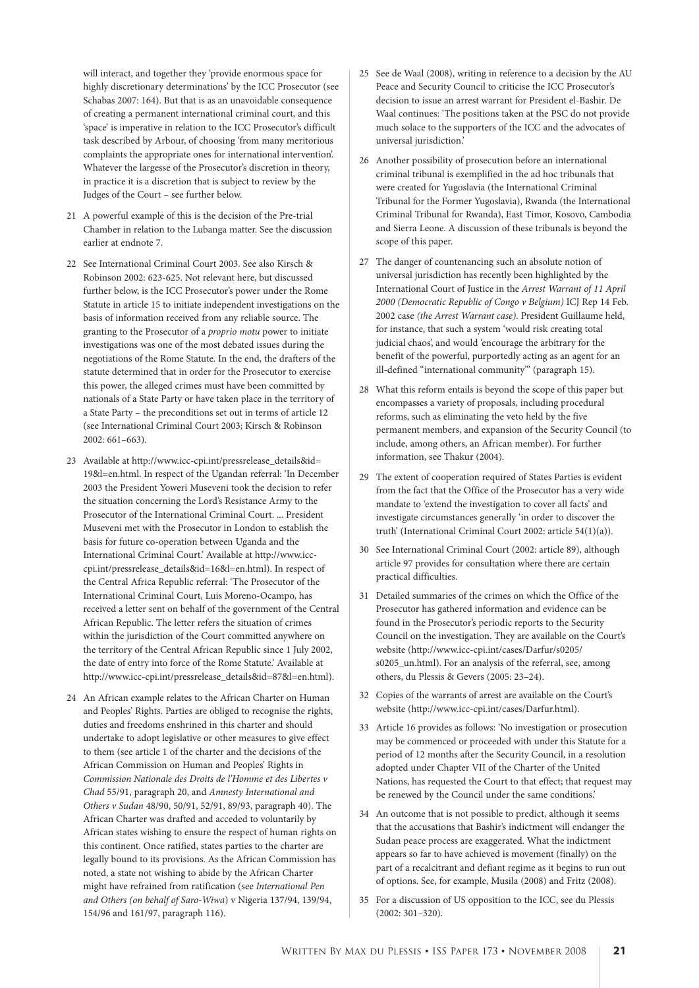will interact, and together they 'provide enormous space for highly discretionary determinations' by the ICC Prosecutor (see Schabas 2007: 164). But that is as an unavoidable consequence of creating a permanent international criminal court, and this 'space' is imperative in relation to the ICC Prosecutor's difficult task described by Arbour, of choosing 'from many meritorious complaints the appropriate ones for international intervention'. Whatever the largesse of the Prosecutor's discretion in theory, in practice it is a discretion that is subject to review by the Judges of the Court – see further below.

- 21 A powerful example of this is the decision of the Pre-trial Chamber in relation to the Lubanga matter. See the discussion earlier at endnote 7.
- 22 See International Criminal Court 2003. See also Kirsch & Robinson 2002: 623-625. Not relevant here, but discussed further below, is the ICC Prosecutor's power under the Rome Statute in article 15 to initiate independent investigations on the basis of information received from any reliable source. The granting to the Prosecutor of a proprio motu power to initiate investigations was one of the most debated issues during the negotiations of the Rome Statute. In the end, the drafters of the statute determined that in order for the Prosecutor to exercise this power, the alleged crimes must have been committed by nationals of a State Party or have taken place in the territory of a State Party – the preconditions set out in terms of article 12 (see International Criminal Court 2003; Kirsch & Robinson 2002: 661–663).
- 23 Available at http://www.icc-cpi.int/pressrelease\_details&id= 19&l=en.html. In respect of the Ugandan referral: 'In December 2003 the President Yoweri Museveni took the decision to refer the situation concerning the Lord's Resistance Army to the Prosecutor of the International Criminal Court. ... President Museveni met with the Prosecutor in London to establish the basis for future co-operation between Uganda and the International Criminal Court.' Available at http://www.icccpi.int/pressrelease\_details&id=16&l=en.html). In respect of the Central Africa Republic referral: 'The Prosecutor of the International Criminal Court, Luis Moreno-Ocampo, has received a letter sent on behalf of the government of the Central African Republic. The letter refers the situation of crimes within the jurisdiction of the Court committed anywhere on the territory of the Central African Republic since 1 July 2002, the date of entry into force of the Rome Statute.' Available at http://www.icc-cpi.int/pressrelease\_details&id=87&l=en.html).
- 24 An African example relates to the African Charter on Human and Peoples' Rights. Parties are obliged to recognise the rights, duties and freedoms enshrined in this charter and should undertake to adopt legislative or other measures to give effect to them (see article 1 of the charter and the decisions of the African Commission on Human and Peoples' Rights in Commission Nationale des Droits de l'Homme et des Libertes v Chad 55/91, paragraph 20, and Amnesty International and Others v Sudan 48/90, 50/91, 52/91, 89/93, paragraph 40). The African Charter was drafted and acceded to voluntarily by African states wishing to ensure the respect of human rights on this continent. Once ratified, states parties to the charter are legally bound to its provisions. As the African Commission has noted, a state not wishing to abide by the African Charter might have refrained from ratification (see International Pen and Others (on behalf of Saro-Wiwa) v Nigeria 137/94, 139/94, 154/96 and 161/97, paragraph 116).
- 25 See de Waal (2008), writing in reference to a decision by the AU Peace and Security Council to criticise the ICC Prosecutor's decision to issue an arrest warrant for President el-Bashir. De Waal continues: 'The positions taken at the PSC do not provide much solace to the supporters of the ICC and the advocates of universal jurisdiction.'
- 26 Another possibility of prosecution before an international criminal tribunal is exemplified in the ad hoc tribunals that were created for Yugoslavia (the International Criminal Tribunal for the Former Yugoslavia), Rwanda (the International Criminal Tribunal for Rwanda), East Timor, Kosovo, Cambodia and Sierra Leone. A discussion of these tribunals is beyond the scope of this paper.
- 27 The danger of countenancing such an absolute notion of universal jurisdiction has recently been highlighted by the International Court of Justice in the Arrest Warrant of 11 April 2000 (Democratic Republic of Congo v Belgium) ICJ Rep 14 Feb. 2002 case (the Arrest Warrant case). President Guillaume held, for instance, that such a system 'would risk creating total judicial chaos', and would 'encourage the arbitrary for the benefit of the powerful, purportedly acting as an agent for an ill-defined "international community"' (paragraph 15).
- 28 What this reform entails is beyond the scope of this paper but encompasses a variety of proposals, including procedural reforms, such as eliminating the veto held by the five permanent members, and expansion of the Security Council (to include, among others, an African member). For further information, see Thakur (2004).
- 29 The extent of cooperation required of States Parties is evident from the fact that the Office of the Prosecutor has a very wide mandate to 'extend the investigation to cover all facts' and investigate circumstances generally 'in order to discover the truth' (International Criminal Court 2002: article 54(1)(a)).
- 30 See International Criminal Court (2002: article 89), although article 97 provides for consultation where there are certain practical difficulties.
- 31 Detailed summaries of the crimes on which the Office of the Prosecutor has gathered information and evidence can be found in the Prosecutor's periodic reports to the Security Council on the investigation. They are available on the Court's website (http://www.icc-cpi.int/cases/Darfur/s0205/ s0205 un.html). For an analysis of the referral, see, among others, du Plessis & Gevers (2005: 23–24).
- 32 Copies of the warrants of arrest are available on the Court's website (http://www.icc-cpi.int/cases/Darfur.html).
- 33 Article 16 provides as follows: 'No investigation or prosecution may be commenced or proceeded with under this Statute for a period of 12 months after the Security Council, in a resolution adopted under Chapter VII of the Charter of the United Nations, has requested the Court to that effect; that request may be renewed by the Council under the same conditions.'
- 34 An outcome that is not possible to predict, although it seems that the accusations that Bashir's indictment will endanger the Sudan peace process are exaggerated. What the indictment appears so far to have achieved is movement (finally) on the part of a recalcitrant and defiant regime as it begins to run out of options. See, for example, Musila (2008) and Fritz (2008).
- 35 For a discussion of US opposition to the ICC, see du Plessis (2002: 301–320).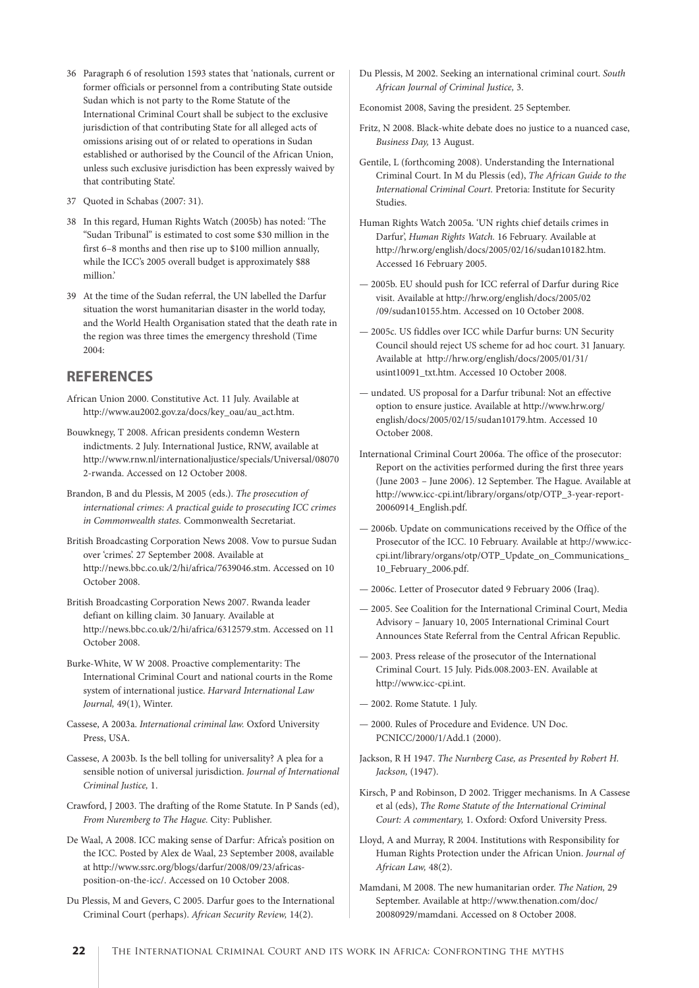- 36 Paragraph 6 of resolution 1593 states that 'nationals, current or former officials or personnel from a contributing State outside Sudan which is not party to the Rome Statute of the International Criminal Court shall be subject to the exclusive jurisdiction of that contributing State for all alleged acts of omissions arising out of or related to operations in Sudan established or authorised by the Council of the African Union, unless such exclusive jurisdiction has been expressly waived by that contributing State'.
- 37 Quoted in Schabas (2007: 31).
- 38 In this regard, Human Rights Watch (2005b) has noted: 'The "Sudan Tribunal" is estimated to cost some \$30 million in the first 6–8 months and then rise up to \$100 million annually, while the ICC's 2005 overall budget is approximately \$88 million.'
- 39 At the time of the Sudan referral, the UN labelled the Darfur situation the worst humanitarian disaster in the world today, and the World Health Organisation stated that the death rate in the region was three times the emergency threshold (Time 2004:

#### **REFERENCES**

African Union 2000. Constitutive Act. 11 July. Available at http://www.au2002.gov.za/docs/key\_oau/au\_act.htm.

- Bouwknegy, T 2008. African presidents condemn Western indictments. 2 July. International Justice, RNW, available at http://www.rnw.nl/internationaljustice/specials/Universal/08070 2-rwanda. Accessed on 12 October 2008.
- Brandon, B and du Plessis, M 2005 (eds.). The prosecution of international crimes: A practical guide to prosecuting ICC crimes in Commonwealth states. Commonwealth Secretariat.
- British Broadcasting Corporation News 2008. Vow to pursue Sudan over 'crimes'. 27 September 2008. Available at http://news.bbc.co.uk/2/hi/africa/7639046.stm. Accessed on 10 October 2008.
- British Broadcasting Corporation News 2007. Rwanda leader defiant on killing claim. 30 January. Available at http://news.bbc.co.uk/2/hi/africa/6312579.stm. Accessed on 11 October 2008.
- Burke-White, W W 2008. Proactive complementarity: The International Criminal Court and national courts in the Rome system of international justice. Harvard International Law Journal, 49(1), Winter.
- Cassese, A 2003a. International criminal law. Oxford University Press, USA.
- Cassese, A 2003b. Is the bell tolling for universality? A plea for a sensible notion of universal jurisdiction. Journal of International Criminal Justice, 1.
- Crawford, J 2003. The drafting of the Rome Statute. In P Sands (ed), From Nuremberg to The Hague. City: Publisher.
- De Waal, A 2008. ICC making sense of Darfur: Africa's position on the ICC. Posted by Alex de Waal, 23 September 2008, available at http://www.ssrc.org/blogs/darfur/2008/09/23/africasposition-on-the-icc/. Accessed on 10 October 2008.
- Du Plessis, M and Gevers, C 2005. Darfur goes to the International Criminal Court (perhaps). African Security Review, 14(2).

Du Plessis, M 2002. Seeking an international criminal court. South African Journal of Criminal Justice, 3.

Economist 2008, Saving the president. 25 September.

- Fritz, N 2008. Black-white debate does no justice to a nuanced case, Business Day, 13 August.
- Gentile, L (forthcoming 2008). Understanding the International Criminal Court. In M du Plessis (ed), The African Guide to the International Criminal Court. Pretoria: Institute for Security Studies.
- Human Rights Watch 2005a. 'UN rights chief details crimes in Darfur', Human Rights Watch. 16 February. Available at http://hrw.org/english/docs/2005/02/16/sudan10182.htm. Accessed 16 February 2005.
- 2005b. EU should push for ICC referral of Darfur during Rice visit. Available at http://hrw.org/english/docs/2005/02 /09/sudan10155.htm. Accessed on 10 October 2008.
- 2005c. US fiddles over ICC while Darfur burns: UN Security Council should reject US scheme for ad hoc court. 31 January. Available at http://hrw.org/english/docs/2005/01/31/ usint10091\_txt.htm. Accessed 10 October 2008.
- undated. US proposal for a Darfur tribunal: Not an effective option to ensure justice. Available at http://www.hrw.org/ english/docs/2005/02/15/sudan10179.htm. Accessed 10 October 2008.
- International Criminal Court 2006a. The office of the prosecutor: Report on the activities performed during the first three years (June 2003 – June 2006). 12 September. The Hague. Available at http://www.icc-cpi.int/library/organs/otp/OTP\_3-year-report-20060914\_English.pdf.
- 2006b. Update on communications received by the Office of the Prosecutor of the ICC. 10 February. Available at http://www.icccpi.int/library/organs/otp/OTP\_Update\_on\_Communications\_ 10\_February\_2006.pdf.
- 2006c. Letter of Prosecutor dated 9 February 2006 (Iraq).
- 2005. See Coalition for the International Criminal Court, Media Advisory – January 10, 2005 International Criminal Court Announces State Referral from the Central African Republic.
- 2003. Press release of the prosecutor of the International Criminal Court. 15 July. Pids.008.2003-EN. Available at http://www.icc-cpi.int.
- 2002. Rome Statute. 1 July.
- 2000. Rules of Procedure and Evidence. UN Doc. PCNICC/2000/1/Add.1 (2000).
- Jackson, R H 1947. The Nurnberg Case, as Presented by Robert H. Jackson, (1947).
- Kirsch, P and Robinson, D 2002. Trigger mechanisms. In A Cassese et al (eds), The Rome Statute of the International Criminal Court: A commentary, 1. Oxford: Oxford University Press.
- Lloyd, A and Murray, R 2004. Institutions with Responsibility for Human Rights Protection under the African Union. Journal of African Law, 48(2).
- Mamdani, M 2008. The new humanitarian order. The Nation, 29 September. Available at http://www.thenation.com/doc/ 20080929/mamdani. Accessed on 8 October 2008.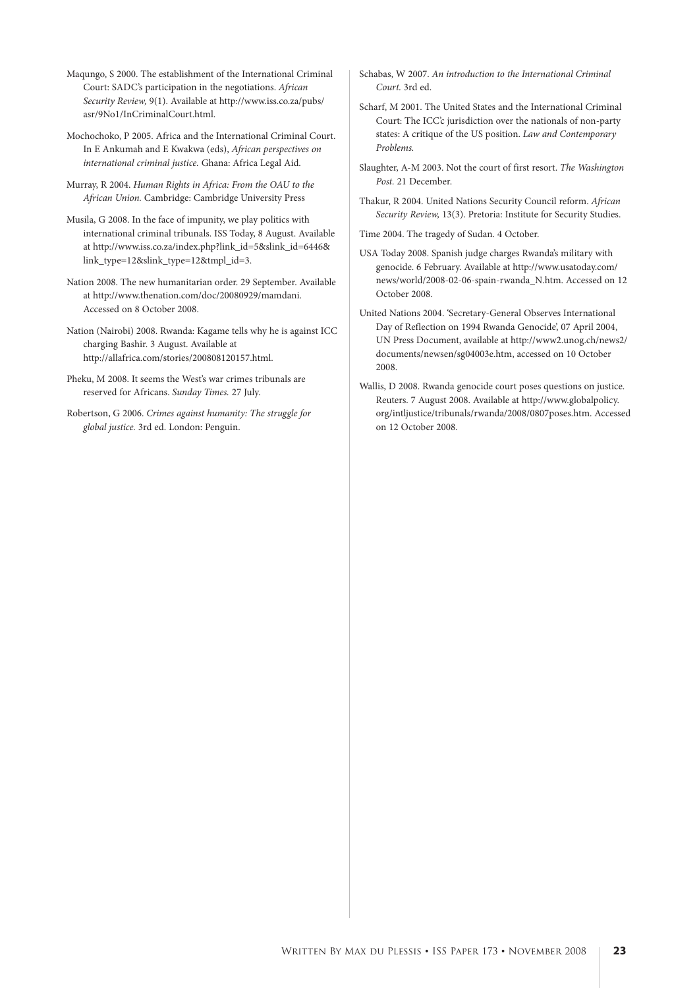Maqungo, S 2000. The establishment of the International Criminal Court: SADC's participation in the negotiations. African Security Review, 9(1). Available at http://www.iss.co.za/pubs/ asr/9No1/InCriminalCourt.html.

Mochochoko, P 2005. Africa and the International Criminal Court. In E Ankumah and E Kwakwa (eds), African perspectives on international criminal justice. Ghana: Africa Legal Aid.

Murray, R 2004. Human Rights in Africa: From the OAU to the African Union. Cambridge: Cambridge University Press

Musila, G 2008. In the face of impunity, we play politics with international criminal tribunals. ISS Today, 8 August. Available at http://www.iss.co.za/index.php?link\_id=5&slink\_id=6446& link\_type=12&slink\_type=12&tmpl\_id=3.

Nation 2008. The new humanitarian order. 29 September. Available at http://www.thenation.com/doc/20080929/mamdani. Accessed on 8 October 2008.

Nation (Nairobi) 2008. Rwanda: Kagame tells why he is against ICC charging Bashir. 3 August. Available at http://allafrica.com/stories/200808120157.html.

Pheku, M 2008. It seems the West's war crimes tribunals are reserved for Africans. Sunday Times. 27 July.

Robertson, G 2006. Crimes against humanity: The struggle for global justice. 3rd ed. London: Penguin.

Schabas, W 2007. An introduction to the International Criminal Court. 3rd ed.

Scharf, M 2001. The United States and the International Criminal Court: The ICC'c jurisdiction over the nationals of non-party states: A critique of the US position. Law and Contemporary Problems.

Slaughter, A-M 2003. Not the court of first resort. The Washington Post. 21 December.

Thakur, R 2004. United Nations Security Council reform. African Security Review, 13(3). Pretoria: Institute for Security Studies.

Time 2004. The tragedy of Sudan. 4 October.

USA Today 2008. Spanish judge charges Rwanda's military with genocide. 6 February. Available at http://www.usatoday.com/ news/world/2008-02-06-spain-rwanda\_N.htm. Accessed on 12 October 2008.

United Nations 2004. 'Secretary-General Observes International Day of Reflection on 1994 Rwanda Genocide', 07 April 2004, UN Press Document, available at http://www2.unog.ch/news2/ documents/newsen/sg04003e.htm, accessed on 10 October 2008.

Wallis, D 2008. Rwanda genocide court poses questions on justice. Reuters. 7 August 2008. Available at http://www.globalpolicy. org/intljustice/tribunals/rwanda/2008/0807poses.htm. Accessed on 12 October 2008.